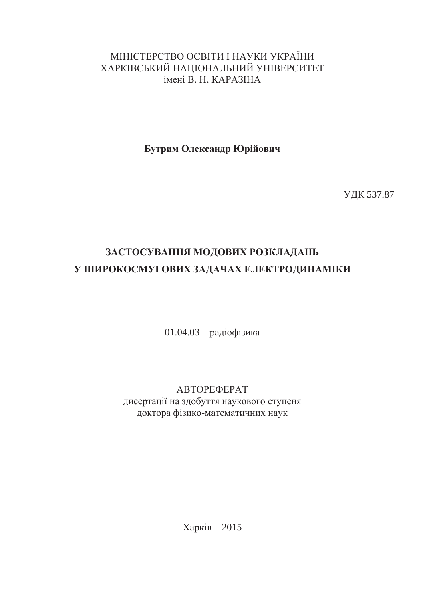# МІНІСТЕРСТВО ОСВІТИ І НАУКИ УКРАЇНИ ХАРКІВСЬКИЙ НАЦІОНАЛЬНИЙ УНІВЕРСИТЕТ iменi B. H. KAPA3IHA

**Бутрим Олександр Юрійович** 

**УДК 537.87** 

# ЗАСТОСУВАННЯ МОДОВИХ РОЗКЛАДАНЬ **У ШИРОКОСМУГОВИХ ЗАДАЧАХ ЕЛЕКТРОДИНАМІКИ**

01.04.03 – радіофізика

ABTOPEФEPAT дисертації на здобуття наукового ступеня доктора фізико-математичних наук

Харків $-2015$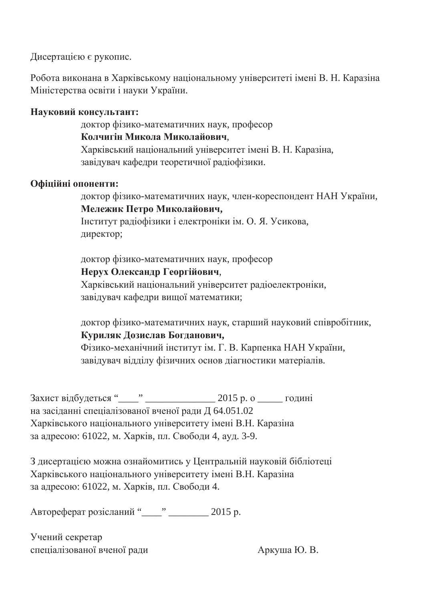Дисертацією є рукопис.

Робота виконана в Харківському національному університеті імені В. Н. Каразіна Міністерства освіти і науки України.

# **Науковий консультант:**

доктор фізико-математичних наук, професор

## Колчигін Микола Миколайович,

Харківський національний університет імені В. Н. Каразіна, завідувач кафедри теоретичної радіофізики.

# Офіційні опоненти:

доктор фізико-математичних наук, член-кореспондент НАН України, Мележик Петро Миколайович.

Інститут радіофізики і електроніки ім. О. Я. Усикова, директор;

доктор фізико-математичних наук, професор **Нерух Олександр Георгійович,** 

Харківський національний університет радіоелектроніки, завідувач кафедри вищої математики;

доктор фізико-математичних наук, старший науковий співробітник, Куриляк Дозислав Богданович,

Фізико-механічний інститут ім. Г. В. Карпенка НАН України, завідувач відділу фізичних основ діагностики матеріалів.

Захист відбудеться" у народи 2015 р. о стадині на засіданні спеціалізованої вченої ради Д 64.051.02 Харківського національного університету імені В.Н. Каразіна за адресою: 61022, м. Харків, пл. Свободи 4, ауд. 3-9.

З дисертацією можна ознайомитись у Центральній науковій бібліотеці Харківського національного університету імені В.Н. Каразіна за адресою: 61022, м. Харків, пл. Свободи 4.

Автореферат розісланий "\_\_\_\_\_" \_\_\_\_\_\_\_ 2015 р.

Учений секретар спеціалізованої вченої ради Аркуша Ю. В.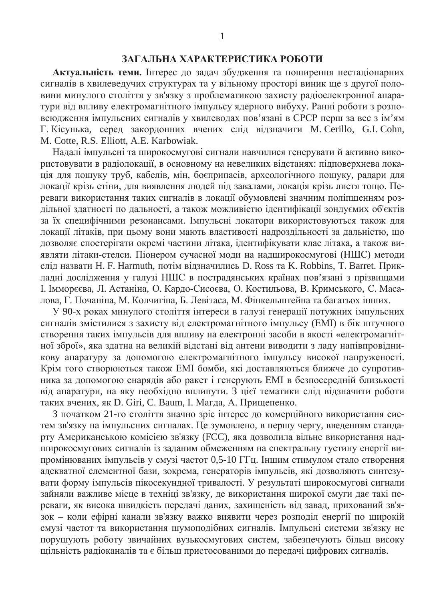Актуальність теми. Інтерес до задач збудження та поширення нестаціонарних сигналів в хвилеведучих структурах та у вільному просторі виник ще з другої половини минулого століття у зв'язку з проблематикою захисту радіоелектронної апаратури від впливу електромагнітного імпульсу ядерного вибуху. Ранні роботи з розповсюдження імпульсних сигналів у хвилеводах пов'язані в СРСР перш за все з ім'ям Г. Кісунька, серед закордонних вчених слід відзначити М. Cerillo, G.I. Cohn, M. Cotte, R.S. Elliott, A.E. Karbowiak.

Надалі імпульсні та широкосмугові сигнали навчилися генерувати й активно використовувати в радіолокації, в основному на невеликих відстанях: підповерхнева локація для пошуку труб, кабелів, мін, боєприпасів, археологічного пошуку, радари для локації крізь стіни, для виявлення людей під завалами, локація крізь листя тощо. Переваги використання таких сигналів в локації обумовлені значним поліпшенням роздільної здатності по дальності, а також можливістю ідентифікації зондуємих об'єктів за їх специфічними резонансами. Імпульсні локатори використовуються також для локації літаків, при цьому вони мають властивості надроздільності за дальністю, що дозволяє спостерігати окремі частини літака, ідентифікувати клас літака, а також виявляти літаки-стелси. Піонером сучасної моди на надширокосмугові (НШС) методи слід назвати Н. F. Harmuth, потім відзначились D. Ross та K. Robbins, T. Barret. Прикладні дослідження у галузі НШС в пострадянських країнах пов'язані з прізвищами I. Імморєєва, Л. Астаніна, О. Кардо-Сисоєва, О. Костильова, В. Кримського, С. Масалова, Г. Почаніна, М. Колчигіна, Б. Левітаса, М. Фінкельштейна та багатьох інших.

У 90-х роках минулого століття інтереси в галузі генерації потужних імпульсних сигналів змістилися з захисту від електромагнітного імпульсу (ЕМІ) в бік штучного створення таких імпульсів для впливу на електронні засоби в якості «електромагнітної зброї», яка здатна на великій відстані від антени виводити з ладу напівпровідникову апаратуру за допомогою електромагнітного імпульсу високої напруженості. Крім того створюються також ЕМІ бомби, які доставляються ближче до супротивника за допомогою снарядів або ракет і генерують ЕМІ в безпосередній близькості від апаратури, на яку необхідно вплинути. З цієї тематики слід відзначити роботи таких вчених, як D. Giri, C. Baum, I. Магда, А. Прищепенко.

З початком 21-го століття значно зріс інтерес до комерційного використання систем зв'язку на імпульсних сигналах. Це зумовлено, в першу чергу, введенням стандарту Американською комісією зв'язку (FCC), яка дозволила вільне використання надширокосмугових сигналів із заданим обмеженням на спектральну густину енергії випромінюваних імпульсів у смузі частот 0,5-10 ГГц. Іншим стимулом стало створення адекватної елементної бази, зокрема, генераторів імпульсів, які дозволяють синтезувати форму імпульсів пікосекундної тривалості. У результаті широкосмугові сигнали зайняли важливе місце в техніці зв'язку, де використання широкої смуги дає такі переваги, як висока швидкість передачі даних, захищеність від завад, прихований зв'язок – коли ефірні канали зв'язку важко виявити через розподіл енергії по широкій смузі частот та використання шумоподібних сигналів. Імпульсні системи зв'язку не порушують роботу звичайних вузькосмугових систем, забезпечують більш високу щільність радіоканалів та є більш пристосованими до передачі цифрових сигналів.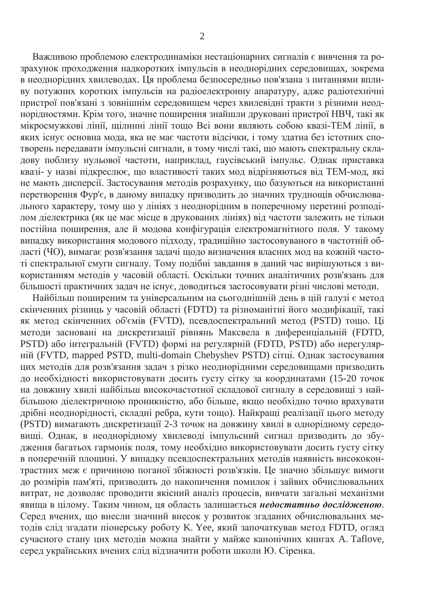Важливою проблемою електродинаміки нестаціонарних сигналів є вивчення та розрахунок проходження надкоротких імпульсів в неоднорідних середовищах, зокрема ъ неоднорідних хвилеводах. Ця проблема безпосередньо пов'язана з питаннями впливу потужних коротких імпульсів на радіоелектронну апаратуру, адже радіотехнічні тристрої пов'язані з зовнішнім середовищем через хвилевідні тракти з різними неоднорідностями. Крім того, значне поширення знайшли друковані пристрої НВЧ, такі як мікросмужкові лінії, щілинні лінії тощо Всі вони являють собою квазі-ТЕМ лінії, в яких існує основна мода, яка не має частоти відсічки, і тому здатна без істотних спотворень передавати імпульсні сигнали, в тому числі такі, що мають спектральну складову поблизу нульової частоти, наприклад, гаусівський імпульс. Однак приставка **TAS** SESSEE STRING THE VILLE STRING THE VILLE TRING THE VILLE STRING THE VILLE AND THE VILLE TRING THE VILLE TRING THE VILLE TRING THE VILLE TRING THE VILLE TRING THE VILLE TRING THE VILLE TRING THE VILLE TRING THE VILLE не мають дисперсії. Застосування методів розрахунку, що базуються на використанні перетворення Фур'є, в даному випадку призводить до значних труднощів обчислювального характеру, тому що у лініях з неоднорідним в поперечному перетині розподіпом діелектрика (як це має місце в друкованих лініях) від частоти залежить не тільки постійна поширення, але й модова конфігурація електромагнітного поля. У такому випадку використання модового підходу, традиційно застосовуваного в частотній області (ЧО), вимагає розв'язання задачі щодо визначення власних мод на кожній частоті спектральної смуги сигналу. Тому подібні завдання в даний час вирішуються з використанням методів у часовій області. Оскільки точних аналітичних розв'язань для більшості практичних задач не існує, доводиться застосовувати різні числові методи.

Найбільш поширеним та універсальним на сьогоднішній день в цій галузі є метод скінченних різниць у часовій області (FDTD) та різноманітні його модифікації, такі як метод скінченних об'ємів (FVTD), псевдоспектральний метод (PSTD) тощо. Ці методи засновані на дискретизації рівнянь Максвела в диференціальній (FDTD, PSTD) або інтегральній (FVTD) формі на регулярній (FDTD, PSTD) або нерегулярній (FVTD, mapped PSTD, multi-domain Chebyshev PSTD) сітці. Однак застосування цих методів для розв'язання задач з різко неоднорідними середовищами призводить до необхідності використовувати досить густу сітку за координатами (15-20 точок на довжину хвилі найбільш високочастотної складової сигналу в середовищі з найбільшою діелектричною проникністю, або більше, якщо необхідно точно врахувати лания действер действер и источно и тематической, активности, активности, активности, кути тощо). Найкращі реалізації цього методу (PSTD) вимагають дискретизації 2-3 точок на довжину хвилі в однорідному середокътъ у завититетът и при темати и темати и темати и темати и темати де збудження багатьох гармонік поля, тому необхідно використовувати досить густу сітку в поперечній площині. У випадку псевдоспектральних методів наявність висококонтрастних меж є причиною поганої збіжності розв'язків. Це значно збільшує вимоги до розмірів пам'яті, призводить до накопичення помилок і зайвих обчислювальних ɜɢɬɪɚɬ, ɧɟ ɞɨɡɜɨɥɹɽ ɩɪɨɜɨɞɢɬɢ ɹɤɿɫɧɢɣ ɚɧɚɥɿɡ ɩɪɨɰɟɫɿɜ, ɜɢɜɱɚɬɢ ɡɚɝɚɥɶɧɿ ɦɟɯɚɧɿɡɦɢ явища в цілому. Таким чином, ця область залишається недостатньо дослідженою. Серед вчених, що внесли значний внесок у розвиток згаданих обчислювальних методів слід згадати піонерську роботу К. Yee, який започаткував метод FDTD, огляд сучасного стану цих методів можна знайти у майже канонічних книгах A. Taflove, серед українських вчених слід відзначити роботи школи Ю. Сіренка.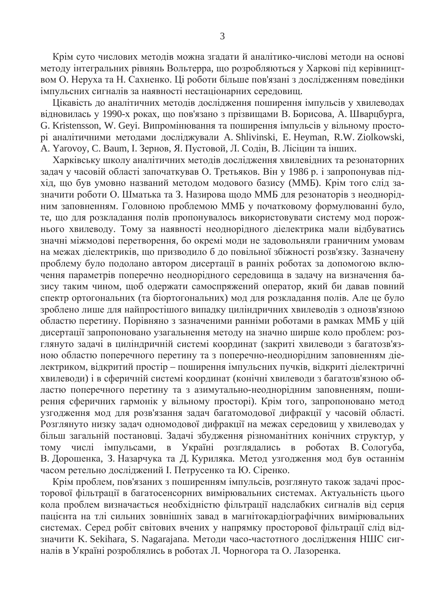Крім суто числових методів можна згадати й аналітико-числові методи на основі методу інтегральних рівнянь Вольтерра, що розробляються у Харкові під керівництвом О. Неруха та Н. Сахненко. Ці роботи більше пов'язані з дослідженням поведінки iмпульсних сигналiв за наявностi нестацiонарних середовищ.

Цікавість до аналітичних методів дослідження поширення імпульсів у хвилеводах відновилась у 1990-х роках, що пов'язано з прізвищами В. Борисова, А. Шварцбурга, G. Kristensson, W. Geyi. Випромінювання та поширення імпульсів у вільному простоpi аналітичними методами досліджували A. Shlivinski, E. Heyman, R.W. Ziolkowski, А. Yarovoy, C. Baum, I. Зернов, Я. Пустовой, Л. Содін, В. Лісіцин та інших.

Харківську школу аналітичних методів дослідження хвилевідних та резонаторних задач у часовій області започаткував О. Третьяков. Він у 1986 р. і запропонував підхід, що був умовно названий методом модового базису (ММБ). Крім того слід зазначити роботи О. Шматька та 3. Назирова щодо ММБ для резонаторів з неоднорідним заповненням. Головною проблемою ММБ у початковому формулюванні було, те, що для розкладання полів пропонувалось використовувати систему мод порожнього хвилеводу. Тому за наявності неоднорідного діелектрика мали відбуватись значні міжмодові перетворення, бо окремі моди не задовольняли граничним умовам на межах діелектриків, що призводило б до повільної збіжності розв'язку. Зазначену проблему було подолано автором дисертації в ранніх роботах за допомогою включення параметрів поперечно неоднорідного середовища в задачу на визначення базису таким чином, щоб одержати самоспряжений оператор, який би давав повний спектр ортогональних (та біортогональних) мод для розкладання полів. Але це було зроблено лише для найпростішого випадку циліндричних хвилеводів з однозв'язною областю перетину. Порівняно з зазначеними ранніми роботами в рамках ММБ у цій дисертації запропоновано узагальнення методу на значно ширше коло проблем: розглянуто задачі в циліндричній системі координат (закриті хвилеводи з багатозв'язною областю поперечного перетину та з поперечно-неоднорідним заповненням діелектриком, відкритий простір – поширення імпульсних пучків, відкриті діелектричні хвилеводи) і в сферичній системі координат (конічні хвилеводи з багатозв'язною областю поперечного перетину та з азимутально-неоднорідним заповненням, поширення сферичних гармонік у вільному просторі). Крім того, запропоновано метод узгодження мод для розв'язання задач багатомодової дифракції у часовій області. Розглянуто низку задач одномодової дифракції на межах середовищ у хвилеводах у більш загальній постановці. Задачі збудження різноманітних конічних структур, у тому числі імпульсами, в Україні розглядались в роботах В. Сологуба, В. Дорошенка, З. Назарчука та Д. Куриляка. Метод узгодження мод був останнім часом ретельно досліджений І. Петрусенко та Ю. Сіренко.

Крім проблем, пов'язаних з поширенням імпульсів, розглянуто також задачі просторової фільтрації в багатосенсорних вимірювальних системах. Актуальність цього кола проблем визначається необхідністю фільтрації надслабких сигналів від серця пацієнта на тлі сильних зовнішніх завад в магнітокардіографічних вимірювальних системах. Серед робіт світових вчених у напрямку просторової фільтрації слід відзначити K. Sekihara, S. Nagarajana. Методи часо-частотного дослідження НШС сигналів в Україні розроблялись в роботах Л. Чорногора та О. Лазоренка.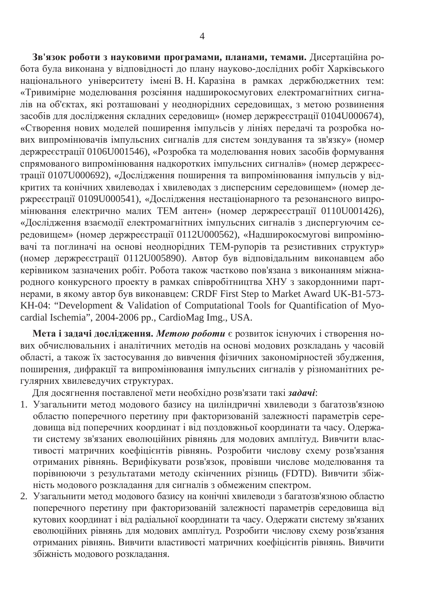Зв'язок роботи з науковими програмами, планами, темами. Дисертаційна робота була виконана у відповідності до плану науково-дослідних робіт Харківського національного університету імені В. Н. Каразіна в рамках держбюджетних тем: «Тривимірне моделювання розсіяння надширокосмугових електромагнітних сигналів на об'єктах, які розташовані у неоднорідних середовищах, з метою розвинення засобів для дослідження складних середовищ» (номер держреєстрації 0104U000674), «Створення нових моделей поширення імпульсів у лініях передачі та розробка нових випромінювачів імпульсних сигналів для систем зондування та зв'язку» (номер держресстрації 0106U001546), «Розробка та моделювання нових засобів формування спрямованого випромінювання надкоротких імпульсних сигналів» (номер держреєстрації 0107U000692), «Дослідження поширення та випромінювання імпульсів у відкритих та конічних хвилеводах і хвилеводах з дисперсним середовищем» (номер держресстрації 0109U000541), «Дослідження нестаціонарного та резонансного випромінювання електрично малих ТЕМ антен» (номер держреєстрації 0110U001426), «Дослідження взаємодії електромагнітних імпульсних сигналів з диспергуючим середовищем» (номер держресстрації 0112U000562), «Надширокосмугові випромінювачі та поглиначі на основі неоднорідних ТЕМ-рупорів та резистивних структур» (номер держреєстрації 0112U005890). Автор був відповідальним виконавцем або керівником зазначених робіт. Робота також частково пов'язана з виконанням міжнародного конкурсного проекту в рамках співробітництва ХНУ з закордонними партнерами, в якому автор був виконавцем: CRDF First Step to Market Award UK-B1-573-KH-04: "Development & Validation of Computational Tools for Quantification of Myocardial Ischemia", 2004-2006 pp., CardioMag Img., USA.

**Мета і задачі дослідження. Метою роботи** є розвиток існуючих і створення нових обчислювальних і аналітичних методів на основі модових розкладань у часовій області, а також їх застосування до вивчення фізичних закономірностей збудження, поширення, дифракції та випромінювання імпульсних сигналів у різноманітних регулярних хвилеведучих структурах.

Для досягнення поставленої мети необхідно розв'язати такі задачі:

- 1. Узагальнити метод модового базису на циліндричні хвилеводи з багатозв'язною областю поперечного перетину при факторизованій залежності параметрів середовища від поперечних координат і від поздовжньої координати та часу. Одержати систему зв'язаних еволюційних рівнянь для модових амплітуд. Вивчити властивості матричних коефіцієнтів рівнянь. Розробити числову схему розв'язання отриманих рівнянь. Верифікувати розв'язок, провівши числове моделювання та порівнюючи з результатами методу скінченних різниць (FDTD). Вивчити збіжність модового розкладання для сигналів з обмеженим спектром.
- 2. Узагальнити метод модового базису на конічні хвилеводи з багатозв'язною областю поперечного перетину при факторизованій залежності параметрів середовища від кутових координат і від радіальної координати та часу. Одержати систему зв'язаних еволюційних рівнянь для модових амплітуд. Розробити числову схему розв'язання отриманих рівнянь. Вивчити властивості матричних коефіцієнтів рівнянь. Вивчити збіжність модового розкладання.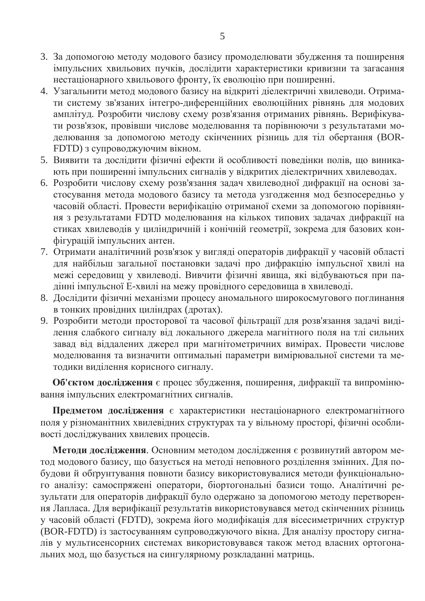- 3. За допомогою методу модового базису промоделювати збудження та поширення аипульсних хвильових пучків, дослідити характеристики кривизни та загасання нестаціонарного хвильового фронту, їх еволюцію при поширенні.
- 4. Узагальнити метод модового базису на відкриті дієлектричні хвилеводи. Отримати систему зв'язаних інтегро-диференційних еволюційних рівнянь для модових амплітуд. Розробити числову схему розв'язання отриманих рівнянь. Верифікувати розв'язок, провівши числове моделювання та порівнюючи з результатами моделювання за допомогою методу скінченних різниць для тіл обертання (BOR-FDTD) з супроводжуючим вікном.
- 5. Виявити та дослідити фізичні ефекти й особливості поведінки полів, що виникають при поширенні імпульсних сигналів у відкритих діелектричних хвилеводах.
- 6. Розробити числову схему розв'язання задач хвилеводної дифракції на основі застосування метода модового базису та метода узгодження мод безпосередньо у часовій області. Провести верифікацію отриманої схеми за допомогою порівняння з результатами FDTD моделювання на кількох типових задачах дифракції на стиках хвилеводів у циліндричній і конічній геометрії, зокрема для базових конфігурацій імпульсних антен.
- 7. Отримати аналітичний розв'язок у вигляді операторів дифракції у часовій області для найбільш загальної постановки задачі про дифракцію імпульсної хвилі на межі середовищ у хвилеводі. Вивчити фізичні явища, які відбуваються при падінні імпульсної Е-хвилі на межу провідного середовища в хвилеводі.
- 8. Дослідити фізичні механізми процесу аномального широкосмугового поглинання в тонких провідних циліндрах (дротах).
- 9. Розробити методи просторової та часової фільтрації для розв'язання задачі виділення слабкого сигналу від локального джерела магнітного поля на тлі сильних завад від віддалених джерел при магнітометричних вимірах. Провести числове моделювання та визначити оптимальні параметри вимірювальної системи та методики виділення корисного сигналу.

Об'єктом дослідження є процес збудження, поширення, дифракції та випромінювання імпульсних електромагнітних сигналів.

Предметом дослідження є характеристики нестаціонарного електромагнітного поля у різноманітних хвилевідних структурах та у вільному просторі, фізичні особливості досліджуваних хвилевих процесів.

Методи дослідження. Основним методом дослідження є розвинутий автором метод модового базису, що базується на методі неповного розділення змінних. Для побудови й обгрунтування повноти базису використовувалися методи функціонального аналізу: самоспряжені оператори, біортогональні базиси тощо. Аналітичні результати для операторів дифракції було одержано за допомогою методу перетворення Лапласа. Для верифікації результатів використовувався метод скінченних різниць у часовій області (FDTD), зокрема його модифікація для вісесиметричних структур (BOR-FDTD) із застосуванням супроводжуючого вікна. Для аналізу простору сигналів у мультисенсорних системах використовувався також метод власних ортогональних мод, що базується на сингулярному розкладанні матриць.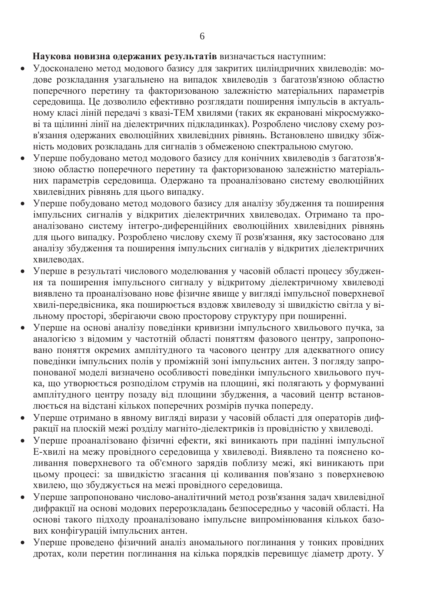# Наукова новизна одержаних результатів визначається наступним:

- Удосконалено метод модового базису для закритих циліндричних хвилеводів: модове розкладання узагальнено на випадок хвилеводів з багатозв'язною областю поперечного перетину та факторизованою залежністю матеріальних параметрів середовища. Це дозволило ефективно розглядати поширення імпульсів в актуальному класі ліній передачі з квазі-ТЕМ хвилями (таких як екрановані мікросмужкові та щілинні лінії на діелектричних підкладинках). Розроблено числову схему розв'язання одержаних еволюційних хвилевідних рівнянь. Встановлено швидку збіжність модових розкладань для сигналів з обмеженою спектральною смугою.
- Уперше побудовано метод модового базису для конічних хвилеводів з багатозв'язною областю поперечного перетину та факторизованою залежністю матеріальних параметрів середовища. Одержано та проаналізовано систему еволюційних хвилевідних рівнянь для цього випадку.
- Уперше побудовано метод модового базису для аналізу збудження та поширення імпульсних сигналів у відкритих дієлектричних хвилеводах. Отримано та проаналізовано систему інтегро-диференційних еволюційних хвилевідних рівнянь для цього випадку. Розроблено числову схему її розв'язання, яку застосовано для аналізу збудження та поширення імпульсних сигналів у відкритих дієлектричних хвилеводах.
- Уперше в результаті числового моделювання у часовій області процесу збудження та поширення імпульсного сигналу у відкритому діелектричному хвилеводі виявлено та проаналізовано нове фізичне явище у вигляді імпульсної поверхневої хвилі-передвісника, яка поширюється вздовж хвилеводу зі швидкістю світла у вільному просторі, зберігаючи свою просторову структуру при поширенні.
- Уперше на основі аналізу поведінки кривизни імпульсного хвильового пучка, за аналогією з відомим у частотній області поняттям фазового центру, запропоновано поняття окремих амплітудного та часового центру для адекватного опису поведінки імпульсних полів у проміжній зоні імпульсних антен. З погляду запропонованої моделі визначено особливості поведінки імпульсного хвильового пучка, що утворюється розподілом струмів на площині, які полягають у формуванні амплітудного центру позаду від площини збудження, а часовий центр встановлюється на відстані кількох поперечних розмірів пучка попереду.
- Уперше отримано в явному вигляді вирази у часовій області для операторів дифракції на плоскій межі розділу магніто-діелектриків із провідністю у хвилеводі.
- Уперше проаналізовано фізичні ефекти, які виникають при падінні імпульсної Е-хвилі на межу провідного середовища у хвилеводі. Виявлено та пояснено коливання поверхневого та об'ємного зарядів поблизу межі, які виникають при цьому процесі: за швидкістю згасання ці коливання пов'язано з поверхневою хвилею, що збуджується на межі провідного середовища.
- Уперше запропоновано числово-аналітичний метод розв'язання задач хвилевідної дифракції на основі модових перерозкладань безпосередньо у часовій області. На основі такого підходу проаналізовано імпульсне випромінювання кількох базових конфігурацій імпульсних антен.
- Уперше проведено фізичний аналіз аномального поглинання у тонких провідних дротах, коли перетин поглинання на кілька порядків перевищує діаметр дроту. У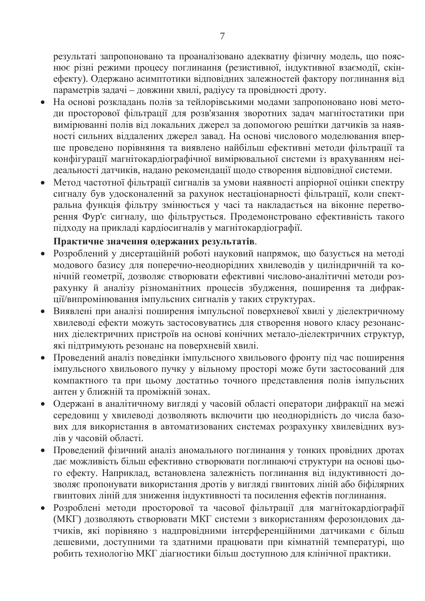результаті запропоновано та проаналізовано адекватну фізичну модель, що пояснює різні режими процесу поглинання (резистивної, індуктивної взаємодії, скінефекту). Одержано асимптотики відповідних залежностей фактору поглинання від параметрів задачі – довжини хвилі, радіусу та провідності дроту.

- На основі розкладань полів за тейлорівськими модами запропоновано нові методи просторової фільтрації для розв'язання зворотних задач магнітостатики при вимірюванні полів від локальних джерел за допомогою решітки датчиків за наявності сильних віддалених джерел завад. На основі числового моделювання вперше проведено порівняння та виявлено найбільш ефективні методи фільтрації та конфігурації магнітокардіографічної вимірювальної системи із врахуванням неідеальності датчиків, надано рекомендації щодо створення відповідної системи.
- Метод частотної фільтрації сигналів за умови наявності апріорної оцінки спектру сигналу був удосконалений за рахунок нестаціонарності фільтрації, коли спектральна функція фільтру змінюється у часі та накладається на віконне перетвогення Фур'є сигналу, що фільтрується. Продемонстровано ефективність такого підходу на прикладі кардіосигналів у магнітокардіографії.

# Практичне значення одержаних результатів.

- Розроблений у дисертаційній роботі науковий напрямок, що базується на методі иодового базису для поперечно-неоднорідних хвилеводів у циліндричній та конічній геометрії, дозволяє створювати ефективні числово-аналітичні методи розрахунку й аналізу різноманітних процесів збудження, поширення та дифракції/випромінювання імпульсних сигналів у таких структурах.
- Виявлені при аналізі поширення імпульсної поверхневої хвилі у діелектричному хвилеводі ефекти можуть застосовуватись для створення нового класу резонансних діелектричних пристроїв на основі конічних метало-діелектричних структур, акі підтримують резонанс на поверхневій хвилі.
- Проведений аналіз поведінки імпульсного хвильового фронту під час поширення імпульсного хвильового пучку у вільному просторі може бути застосований для компактного та при цьому достатньо точного представлення полів імпульсних антен у ближній та проміжній зонах.
- Одержані в аналітичному вигляді у часовій області оператори дифракції на межі середовищ у хвилеводі дозволяють включити цю неоднорідність до числа базових для використання в автоматизованих системах розрахунку хвилевідних вузлів у часовій області.
- Проведений фізичний аналіз аномального поглинання у тонких провідних дротах дає можливість більш ефективно створювати поглинаючі структури на основі цього ефекту. Наприклад, встановлена залежність поглинання від індуктивності дозволяє пропонувати використання дротів у вигляді гвинтових ліній або біфілярних твинтових ліній для зниження індуктивності та посилення ефектів поглинання.
- Розроблені методи просторової та часової фільтрації для магнітокардіографії (МКГ) дозволяють створювати МКГ системи з використанням ферозондових датчиків, які порівняно з надпровідними інтерференційними датчиками є більш дешевими, доступними та здатними працювати при кімнатній температурі, що робить технологію МКГ діагностики більш доступною для клінічної практики.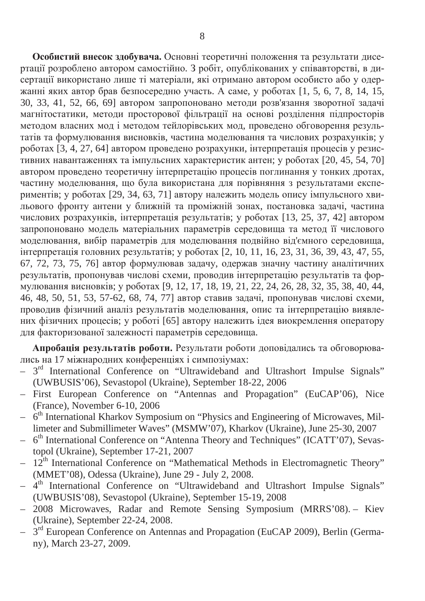Особистий внесок здобувача. Основні теоретичні положення та результати дисертації розроблено автором самостійно. З робіт, опублікованих у співавторстві, в дисертації використано лише ті матеріали, які отримано автором особисто або у одержанні яких автор брав безпосередню участь. А саме, у роботах  $[1, 5, 6, 7, 8, 14, 15,$ 30, 33, 41, 52, 66, 69] автором запропоновано методи розв'язання зворотної задачі магнітостатики, методи просторової фільтрації на основі розділення підпросторів методом власних мод і методом тейлорівських мод, проведено обговорення результатів та формулювання висновків, частина моделювання та числових розрахунків; у роботах [3, 4, 27, 64] автором проведено розрахунки, інтерпретація процесів у резистивних навантаженнях та імпульсних характеристик антен; у роботах [20, 45, 54, 70] автором проведено теоретичну інтерпретацію процесів поглинання у тонких дротах, частину моделювання, що була використана для порівняння з результатами експериментів; у роботах [29, 34, 63, 71] автору належить модель опису імпульсного хвильового фронту антени у ближній та проміжній зонах, постановка задачі, частина числових розрахунків, інтерпретація результатів; у роботах [13, 25, 37, 42] автором запропоновано модель матеріальних параметрів середовища та метод її числового моделювання, вибір параметрів для моделювання подвійно від'ємного середовища, інтерпретація головних результатів; у роботах [2, 10, 11, 16, 23, 31, 36, 39, 43, 47, 55, 67, 72, 73, 75, 76] автор формулював задачу, одержав значну частину аналітичних результатів, пропонував числові схеми, проводив інтерпретацію результатів та формулювання висновків; у роботах [9, 12, 17, 18, 19, 21, 22, 24, 26, 28, 32, 35, 38, 40, 44, 46, 48, 50, 51, 53, 57-62, 68, 74, 77] автор ставив задачі, пропонував числові схеми, проводив фізичний аналіз результатів моделювання, опис та інтерпретацію виявлених фізичних процесів; у роботі [65] автору належить ідея виокремлення оператору для факторизованої залежності параметрів середовища.

Апробація результатів роботи. Результати роботи доповідались та обговорювались на 17 міжнародних конференціях і симпозіумах:

- $-3<sup>rd</sup>$  International Conference on "Ultrawideband and Ultrashort Impulse Signals" (UWBUSIS'06), Sevastopol (Ukraine), September 18-22, 2006
- First European Conference on "Antennas and Propagation" (EuCAP'06), Nice (France), November 6-10, 2006
- $-6$ <sup>th</sup> International Kharkov Symposium on "Physics and Engineering of Microwaves, Millimeter and Submillimeter Waves" (MSMW'07), Kharkov (Ukraine), June 25-30, 2007
- 6<sup>th</sup> International Conference on "Antenna Theory and Techniques" (ICATT'07), Sevastopol (Ukraine), September 17-21, 2007
- $12<sup>th</sup>$  International Conference on "Mathematical Methods in Electromagnetic Theory" (MMET'08), Odessa (Ukraine), June 29 - July 2, 2008.
- $-4$ <sup>th</sup> International Conference on "Ultrawideband and Ultrashort Impulse Signals" (UWBUSIS'08), Sevastopol (Ukraine), September 15-19, 2008
- 2008 Microwaves, Radar and Remote Sensing Symposium (MRRS'08). Kiev (Ukraine), September 22-24, 2008.
- 3rd European Conference on Antennas and Propagation (EuCAP 2009), Berlin (Germany), March 23-27, 2009.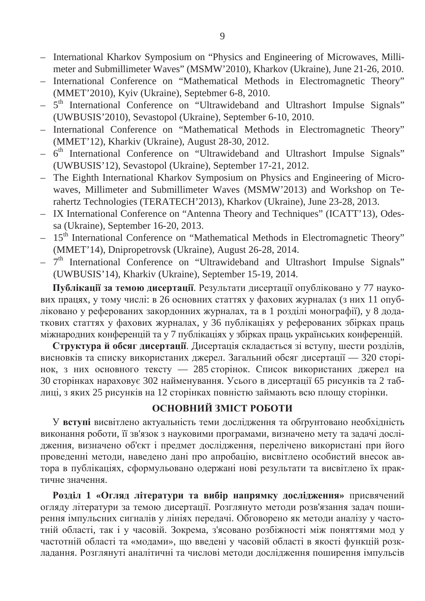- International Kharkov Symposium on "Physics and Engineering of Microwaves, Millimeter and Submillimeter Waves" (MSMW'2010), Kharkov (Ukraine), June 21-26, 2010.
- International Conference on "Mathematical Methods in Electromagnetic Theory" (MMET'2010), Kyiv (Ukraine), Septebmer 6-8, 2010.
- $-5$ <sup>th</sup> International Conference on "Ultrawideband and Ultrashort Impulse Signals" (UWBUSIS'2010), Sevastopol (Ukraine), September 6-10, 2010.
- International Conference on "Mathematical Methods in Electromagnetic Theory" (MMET'12), Kharkiv (Ukraine), August 28-30, 2012.
- $-6$ <sup>th</sup> International Conference on "Ultrawideband and Ultrashort Impulse Signals" (UWBUSIS'12), Sevastopol (Ukraine), September 17-21, 2012.
- The Eighth International Kharkov Symposium on Physics and Engineering of Microwaves, Millimeter and Submillimeter Waves (MSMW'2013) and Workshop on Terahertz Technologies (TERATECH'2013), Kharkov (Ukraine), June 23-28, 2013.
- IX International Conference on "Antenna Theory and Techniques" (ICATT'13), Odessa (Ukraine), September 16-20, 2013.
- $-15<sup>th</sup>$  International Conference on "Mathematical Methods in Electromagnetic Theory" (MMET'14), Dnipropetrovsk (Ukraine), August 26-28, 2014.
- $-7<sup>th</sup>$  International Conference on "Ultrawideband and Ultrashort Impulse Signals" (UWBUSIS'14), Kharkiv (Ukraine), September 15-19, 2014.

Публікації за темою дисертації. Результати дисертації опубліковано у 77 наукових працях, у тому числі: в 26 основних статтях у фахових журналах (з них 11 опубліковано у реферованих закордонних журналах, та в 1 розділі монографії), у 8 додаткових статтях у фахових журналах, у 36 публікаціях у реферованих збірках праць міжнародних конференцій та у 7 публікаціях у збірках праць українських конференцій.

Структура й обсяг дисертації. Дисертація складається зі вступу, шести розділів, висновків та списку використаних джерел. Загальний обсяг дисертації — 320 сторінок, з них основного тексту — 285 сторінок. Список використаних джерел на 30 сторінках нараховує 302 найменування. Усього в дисертації 65 рисунків та 2 таблиці, з яких 25 рисунків на 12 сторінках повністю займають всю площу сторінки.

### **ОСНОВНИЙ ЗМІСТ РОБОТИ**

У вступі висвітлено актуальність теми дослідження та обґрунтовано необхідність виконання роботи, її зв'язок з науковими програмами, визначено мету та задачі дослідження, визначено об'єкт і предмет дослідження, перелічено використані при його проведенні методи, наведено дані про апробацію, висвітлено особистий внесок автора в публікаціях, сформульовано одержані нові результати та висвітлено їх практичне значення.

Розділ 1 «Огляд літератури та вибір напрямку дослідження» присвячений огляду літератури за темою дисертації. Розглянуто методи розв'язання задач поширення імпульсних сигналів у лініях передачі. Обговорено як методи аналізу у частотній області, так і у часовій. Зокрема, з'ясовано розбіжності між поняттями мод у частотній області та «модами», що введені у часовій області в якості функцій розкладання. Розглянуті аналітичні та числові методи дослідження поширення імпульсів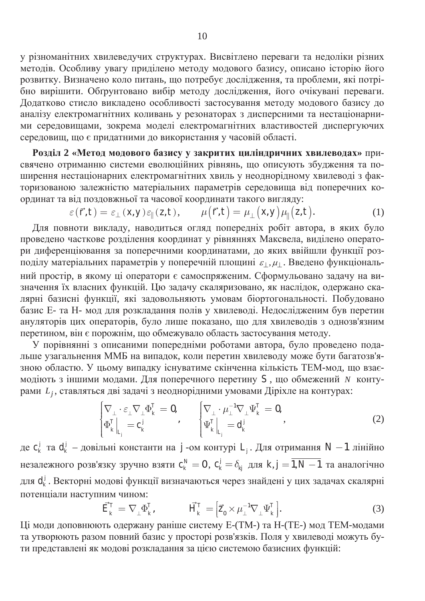у різноманітних хвилеведучих структурах. Висвітлено переваги та недоліки різних истодів. Особливу увагу приділено методу модового базису, описано історію його розвитку. Визначено коло питань, що потребує дослідження, та проблеми, які потрібно вирішити. Обгрунтовано вибір методу дослідження, його очікувані переваги. Додатково стисло викладено особливості застосування методу модового базису до аналізу електромагнітних коливань у резонаторах з дисперсними та нестаціонарними середовищами, зокрема моделі електромагнітних властивостей диспергуючих середовищ, що є придатними до використання у часовій області.

Розділ 2 «Метод модового базису у закритих циліндричних хвилеводах» присвячено отриманню системи еволюційних рівнянь, що описують збудження та поширення нестаціонарних електромагнітних хвиль у неоднорідному хвилеводі з факторизованою залежністю матеріальних параметрів середовища від поперечних координат та від поздовжньої та часової координати такого вигляду:

$$
\varepsilon(\vec{r},t) = \varepsilon_{\perp}(x,y)\varepsilon_{\parallel}(z,t), \qquad \mu(\vec{r},t) = \mu_{\perp}(x,y)\mu_{\parallel}(z,t). \tag{1}
$$

Для повноти викладу, наводиться огляд попередніх робіт автора, в яких було проведено часткове розділення координат у рівняннях Максвела, виділено оператопи диференціювання за поперечними координатами, до яких ввійшли функції розподілу матеріальних параметрів у поперечній площині  $\varepsilon_1, \mu_1$ . Введено функціональний простір, в якому ці оператори є самоспряженим. Сформульовано задачу на визначення їх власних функцій. Цю задачу скаляризовано, як наслідок, одержано скалярні базисні функції, які задовольняють умовам біортогональності. Побудовано базис Е- та Н- мод для розкладання полів у хвилеводі. Недослідженим був перетин ануляторів цих операторів, було лише показано, що для хвилеводів з однозв'язним перетином, він є порожнім, що обмежувало область застосування методу.

У порівнянні з описаними попередніми роботами автора, було проведено подальше узагальнення ММБ на випадок, коли перетин хвилеводу може бути багатозв'язною областю. У цьому випадку існуватиме скінченна кількість ТЕМ-мод, що взаємодіють з іншими модами. Для поперечного перетину S, що обмежений N контурами L<sub>j</sub>, ставляться дві задачі з неоднорідними умовами Діріхле на контурах:

$$
\begin{cases} \nabla_{\perp} \cdot \varepsilon_{\perp} \nabla_{\perp} \Phi_{k}^{T} = 0, & \left[ \nabla_{\perp} \cdot \mu_{\perp}^{-1} \nabla_{\perp} \Psi_{k}^{T} = 0, \\ \Phi_{k}^{T} \Big|_{L_{j}} = c_{k}^{j} & \left| \Psi_{k}^{T} \Big|_{L_{j}} = d_{k}^{j} \end{cases}
$$
\n(2)

де  $c_k^j$  та  $d_k^j$  – довільні константи на *j*-ом контурі  $L_j$ . Для отримання N – 1 лінійно незалежного розв'язку зручно взяти  $c_k^{\prime\prime} = 0$ ,  $c_k^{\prime} = \delta_{kj}$  для  $k, j = \overline{1, N-1}$  та аналогічно для *d*//. Векторні модові функції визначаються через знайдені у цих задачах скалярні потенціали наступним чином:

$$
\vec{E}_k^T = \nabla_\perp \Phi_{k'}^T, \qquad \vec{H}_k^T = \left[ \vec{Z}_0 \times \mu_\perp^{-1} \nabla_\perp \Psi_k^T \right]. \tag{3}
$$

Ці моди доповнюють одержану раніше систему E-(ТМ-) та H-(ТЕ-) мод ТЕМ-модами та утворюють разом повний базис у просторі розв'язків. Поля у хвилеводі можуть бути представлені як модові розкладання за цією системою базисних функцій: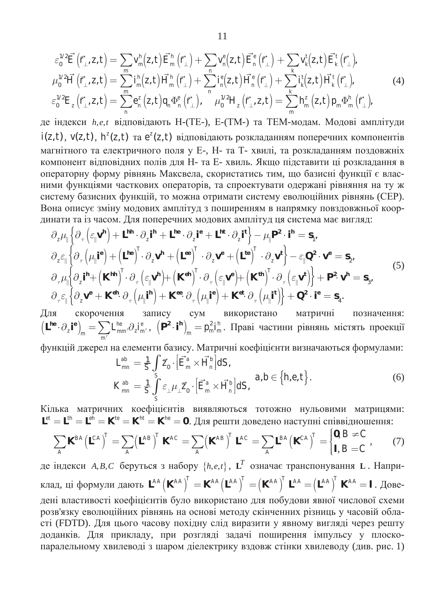$$
\varepsilon_{0}^{1/2}\vec{E}\left(\vec{r}_{\perp},z,t\right) = \sum_{m} V_{m}^{h}(z,t)\vec{E}_{m}^{h}\left(\vec{r}_{\perp}\right) + \sum_{n} V_{n}^{e}(z,t)\vec{E}_{n}^{e}\left(\vec{r}_{\perp}\right) + \sum_{k} V_{k}^{t}(z,t)\vec{E}_{k}^{t}\left(\vec{r}_{\perp}\right),
$$
\n
$$
\mu_{0}^{1/2}\vec{H}\left(\vec{r}_{\perp},z,t\right) = \sum_{m} I_{m}^{h}(z,t)\vec{H}_{m}^{h}\left(\vec{r}_{\perp}\right) + \sum_{n} I_{n}^{e}(z,t)\vec{H}_{n}^{e}\left(\vec{r}_{\perp}\right) + \sum_{k} I_{k}^{t}(z,t)\vec{H}_{k}^{t}\left(\vec{r}_{\perp}\right),
$$
\n
$$
\varepsilon_{0}^{1/2}E_{z}\left(\vec{r}_{\perp},z,t\right) = \sum_{n} \varepsilon_{n}^{z}(z,t)q_{n}\Phi_{n}^{e}\left(\vec{r}_{\perp}\right), \quad \mu_{0}^{1/2}H_{z}\left(\vec{r}_{\perp},z,t\right) = \sum_{m} h_{m}^{z}(z,t)p_{m}\Phi_{m}^{h}\left(\vec{r}_{\perp}\right),
$$
\n(4)

де індекси *h,e,t* відповідають H-(ТЕ-), E-(ТМ-) та ТЕМ-модам. Модові амплітуди  $i(z, t)$ ,  $v(z, t)$ ,  $h^{z}(z, t)$  ra  $e^{z}(z, t)$  відповідають розкладанням поперечних компонентів магнітного та електричного поля у Е-, Н- та Т- хвилі, та розкладанням поздовжніх компонент відповідних полів для Н- та Е- хвиль. Якщо підставити ці розкладання в операторну форму рівнянь Максвела, скористатись тим, що базисні функції є власними функціями часткових операторів, та спроектувати одержані рівняння на ту ж систему базисних функцій, то можна отримати систему еволюційних рівнянь (СЕР). Вона описує зміну модових амплітуд з поширенням в напрямку повздовжньої координати та із часом. Для поперечних модових амплітуд ця система має вигляд:

$$
\partial_{z}\mu_{\parallel} \{\partial_{\tau} (\epsilon_{\parallel} \mathbf{v}^{\mathsf{h}}) + \mathbf{L}^{\mathsf{hh}} \cdot \partial_{z} \mathbf{i}^{\mathsf{h}} + \mathbf{L}^{\mathsf{he}} \cdot \partial_{z} \mathbf{i}^{\mathsf{e}} + \mathbf{L}^{\mathsf{ht}} \cdot \partial_{z} \mathbf{i}^{\mathsf{t}} \} - \mu_{\parallel} \mathbf{P}^{2} \cdot \mathbf{i}^{\mathsf{h}} = \mathbf{s}_{1},
$$
\n
$$
\partial_{z} \epsilon_{\parallel} \{\partial_{\tau} (\mu_{\parallel} \mathbf{i}^{\mathsf{e}}) + (\mathbf{L}^{\mathsf{he}})^{\mathsf{T}} \cdot \partial_{z} \mathbf{v}^{\mathsf{h}} + (\mathbf{L}^{\mathsf{ee}})^{\mathsf{T}} \cdot \partial_{z} \mathbf{v}^{\mathsf{e}} + (\mathbf{L}^{\mathsf{te}})^{\mathsf{T}} \cdot \partial_{z} \mathbf{v}^{\mathsf{t}} \} - \epsilon_{\parallel} \mathbf{Q}^{2} \cdot \mathbf{v}^{\mathsf{e}} = \mathbf{s}_{2},
$$
\n
$$
\partial_{\tau} \mu_{\parallel} \{\partial_{z} \mathbf{i}^{\mathsf{h}} + (\mathbf{K}^{\mathsf{hh}})^{\mathsf{T}} \cdot \partial_{\tau} (\epsilon_{\parallel} \mathbf{v}^{\mathsf{h}}) + (\mathbf{K}^{\mathsf{eh}})^{\mathsf{T}} \cdot \partial_{\tau} (\epsilon_{\parallel} \mathbf{v}^{\mathsf{e}}) + (\mathbf{K}^{\mathsf{th}})^{\mathsf{T}} \cdot \partial_{\tau} (\epsilon_{\parallel} \mathbf{v}^{\mathsf{t}}) \} + \mathbf{P}^{2} \cdot \mathbf{v}^{\mathsf{h}} = \mathbf{s}_{3},
$$
\n
$$
\partial_{\tau} \epsilon_{\parallel} \{\partial_{z} \mathbf{v}^{\mathsf{e}} + \mathbf{K}^{\mathsf{eh}} \cdot \partial_{\tau} (\mu_{\parallel} \mathbf{i}^{\mathsf{h}}) + \mathbf{K}^{\mathsf{ee}} \cdot \partial_{\tau} (\mu_{\parallel} \mathbf{i}^{\mathsf{e}}) + \mathbf{K}^{\mathsf{et}} \cdot \partial_{\tau} (\mu_{\parallel} \mathbf{i}^{\mathsf
$$

Для скорочення запису сум використано матричні позначення:  $\left(\mathsf{L}^{\mathsf{he}}\cdot\partial_z\mathsf{i}^\mathsf{e}\right)_m = \sum_{m'}\mathcal{L}^{\mathsf{he}}_{mm'}\partial_z\mathsf{j}^\mathsf{e}_m$  $L^{he}_{mm'} \partial_z l^e_{m'}$  $\mathbf{L}^{\text{he}} \cdot \partial_z \mathbf{i}^{\text{e}}_m = \sum_{m'} L^{\text{he}}_{mm'} \partial_z \mathbf{i}^{\text{e}}_m$ ,  $(\mathbf{P}^2 \cdot \mathbf{i}^{\text{h}})_m = \rho_m^2 \mathbf{i}^{\text{h}}_m$ . Праві частини рівнянь містять проекції

функцій джерел на елементи базису. Матричні коефіцієнти визначаються формулами:  $\vec{f}_{\vec{a}}^{ab} = \frac{1}{5} \int \vec{Z}_{0} \cdot \left| \vec{E}^{a}_{m} \times \vec{H}^{b}_{n} \right| dS,$  $L_{mn}^{ab} = \frac{1}{S} \int \vec{Z}_0 \cdot \left[ \vec{E}_m^a \times \vec{H}_n^b \right] dS$  $\vec{G}$   $\vec{G}$   $\vec{G}$ 

$$
K_{mn}^{ab} = \frac{1}{S} \int_{S}^{S} \varepsilon_{\perp} \mu_{\perp} \vec{z}_{0} \cdot \left[ \vec{E}_{m}^{a} \times \vec{H}_{n}^{b} \right] dS, \quad a, b \in \{h, e, t\}.
$$
\n
$$
(6)
$$

Кілька матричних коефіцієнтів виявляються тотожно нульовими матрицями:  $L<sup>et</sup> = L<sup>th</sup> = L<sup>eh</sup> = K<sup>te</sup> = K<sup>ht</sup> = K<sup>he</sup> = 0$ . Для решти доведено наступні співвідношення:

$$
\sum_{A} \mathbf{K}^{BA} \left( \mathbf{L}^{CA} \right)^{T} = \sum_{A} \left( \mathbf{L}^{AB} \right)^{T} \mathbf{K}^{AC} = \sum_{A} \left( \mathbf{K}^{AB} \right)^{T} \mathbf{L}^{AC} = \sum_{A} \mathbf{L}^{BA} \left( \mathbf{K}^{CA} \right)^{T} = \begin{cases} \mathbf{0}, B \neq C \\ \mathbf{I}, B = C \end{cases}, \tag{7}
$$

де індекси *A, B, C* беруться з набору  $\{h, e, t\}$ , L<sup>T</sup> означає транспонування L. Наприклад, ці формули дають  $\mathsf{L}^{AA}(\mathsf{K}^{AA})^T = \mathsf{K}^{AA}(\mathsf{L}^{AA})^T = (\mathsf{K}^{AA})^T \mathsf{L}^{AA} = (\mathsf{L}^{AA})^T \mathsf{K}^{AA} = \mathsf{I}$ . Доведені властивості коефіцієнтів було використано для побудови явної числової схеми розв'язку еволюційних рівнянь на основі методу скінченних різниць у часовій області (FDTD). Для цього часову похідну слід виразити у явному вигляді через решту доданків. Для прикладу, при розгляді задачі поширення імпульсу у плоскопаралельному хвилеводі з шаром діелектрику вздовж стінки хвилеводу (див. рис. 1)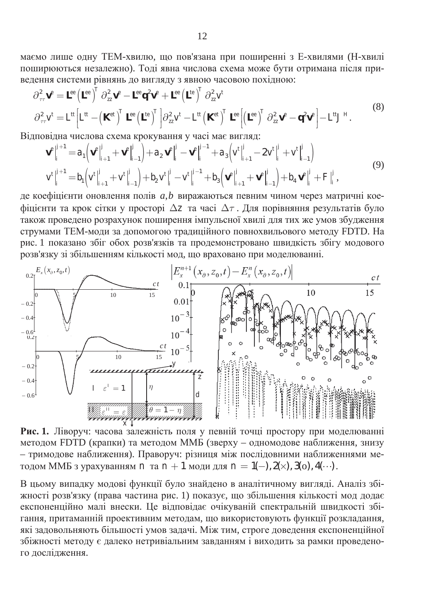маємо лише одну ТЕМ-хвилю, що пов'язана при поширенні з Е-хвилями (Н-хвилі поширюються незалежно). Тоді явна числова схема може бути отримана після приведення системи рівнянь до вигляду з явною часовою похідною:

$$
\partial_{\tau\tau}^{2} \mathbf{v}^{e} = \mathbf{L}^{ee} \left( \mathbf{L}^{ee} \right)^{T} \partial_{zz}^{2} \mathbf{v}^{e} - \mathbf{L}^{ee} \mathbf{q}^{2} \mathbf{v}^{e} + \mathbf{L}^{ee} \left( \mathbf{L}^{te} \right)^{T} \partial_{zz}^{2} \mathbf{v}^{t}
$$
\n
$$
\partial_{\tau\tau}^{2} \mathbf{v}^{t} = L^{tt} \Big[ L^{tt} - \left( \mathbf{K}^{et} \right)^{T} \mathbf{L}^{ee} \Big( \mathbf{L}^{te} \Big)^{T} \Big] \partial_{zz}^{2} \mathbf{v}^{t} - L^{tt} \left( \mathbf{K}^{et} \right)^{T} \mathbf{L}^{ee} \Big[ \left( \mathbf{L}^{ee} \right)^{T} \partial_{zz}^{2} \mathbf{v}^{e} - \mathbf{q}^{2} \mathbf{v}^{e} \Big] - L^{tt} J^{H}. \tag{8}
$$

Відповідна числова схема крокування у часі має вигляд:

$$
\mathbf{v}^{e}\Big|_{i}^{j+1} = a_{1} \Big( \mathbf{v}^{e}\Big|_{i+1}^{j} + \mathbf{v}^{e}\Big|_{i-1}^{j} \Big) + a_{2} \mathbf{v}^{e}\Big|_{i}^{j} - \mathbf{v}^{e}\Big|_{i}^{j-1} + a_{3} \Big( \mathbf{v}^{t}\Big|_{i+1}^{j} - 2 \mathbf{v}^{t}\Big|_{i}^{j} + \mathbf{v}^{t}\Big|_{i-1}^{j} \Big)
$$
  
\n
$$
\mathbf{v}^{t}\Big|_{i}^{j+1} = b_{1} \Big( \mathbf{v}^{t}\Big|_{i+1}^{j} + \mathbf{v}^{t}\Big|_{i-1}^{j} \Big) + b_{2} \mathbf{v}^{t}\Big|_{i}^{j} - \mathbf{v}^{t}\Big|_{i}^{j-1} + b_{3} \Big( \mathbf{v}^{e}\Big|_{i+1}^{j} + \mathbf{v}^{e}\Big|_{i-1}^{j} \Big) + b_{4} \mathbf{v}^{e}\Big|_{i}^{j} + F\Big|_{i}^{j},
$$
\n(9)

де коефіцієнти оновлення полів  $a, b$  виражаються певним чином через матричні кое- $\phi$ и́цієнти та крок сітки у просторі Δ*z* та часі Δ*τ*. Для порівняння результатів було також проведено розрахунок поширення імпульсної хвилі для тих же умов збудження струмами ТЕМ-моди за допомогою традиційного повнохвильового методу FDTD. На рис. 1 показано збіг обох розв'язків та продемонстровано швидкість збігу модового розв'язку зі збільшенням кількості мод, що враховано при моделюванні.



Рис. 1. Ліворуч: часова залежність поля у певній точці простору при моделюванні методом FDTD (крапки) та методом ММБ (зверху – одномодове наближення, знизу - тримодове наближення). Праворуч: різниця між послідовними наближеннями ме- $\tau$ одом ММБ з урахуванням *n* та *n* + 1 моди для *n* = 1(-), 2(x), 3(0), 4(...).

В цьому випадку модові функції було знайдено в аналітичному вигляді. Аналіз збіхності розв'язку (права частина рис. 1) показує, що збільшення кількості мод додає експоненційно малі внески. Це відповідає очікуваній спектральній швидкості збігання, притаманній проективним методам, що використовують функції розкладання, які задовольняють більшості умов задачі. Між тим, строге доведення експоненційної збіжності методу є далеко нетривіальним завданням і виходить за рамки проведеного дослідження.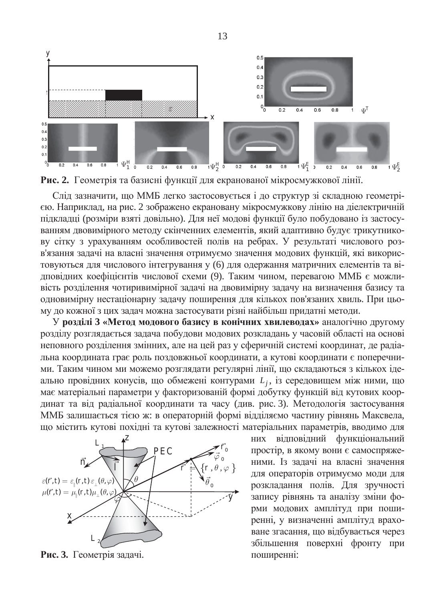



Слід зазначити, що ММБ легко застосовується і до структур зі складною геометрією. Наприклад, на рис. 2 зображено екрановану мікросмужкову лінію на діелектричній підкладці (розміри взяті довільно). Для неї модові функції було побудовано із застосуванням двовимірного методу скінченних елементів, який адаптивно будує трикутникову сітку з урахуванням особливостей полів на ребрах. У результаті числового розв'язання задачі на власні значення отримуємо значення модових функцій, які використовуються для числового інтегрування у (6) для одержання матричних елементів та відповідних коефіцієнтів числової схеми (9). Таким чином, перевагою ММБ є можливість розділення чотиривимірної задачі на двовимірну задачу на визначення базису та одновимірну нестаціонарну задачу поширення для кількох пов'язаних хвиль. При цьому до кожної з цих задач можна застосувати різні найбільш придатні методи.

У розділі 3 «Метод модового базису в конічних хвилеводах» аналогічно другому розділу розглядається задача побудови модових розкладань у часовій області на основі неповного розділення змінних, але на цей раз у сферичній системі координат, де радіальна координата грає роль поздовжньої координати, а кутові координати є поперечними. Таким чином ми можемо розглядати регулярні лінії, що складаються з кількох ідеально провідних конусів, що обмежені контурами L<sub>i</sub>, із середовищем між ними, що має матеріальні параметри у факторизованій формі добутку функцій від кутових координат та від радіальної координати та часу (див. рис. 3). Методологія застосування ММБ залишається тією ж: в операторній формі відділяємо частину рівнянь Максвела, що містить кутові похідні та кутові залежності матеріальних параметрів, вводимо для



Рис. 3. Геометрія задачі.

них відповідний функціональний простір, в якому вони є самоспряженими. Із задачі на власні значення для операторів отримуємо моди для розкладання полів. Для зручності запису рівнянь та аналізу зміни форми модових амплітуд при поширенні, у визначенні амплітуд враховане згасання, що відбувається через збільшення поверхні фронту при поширенні: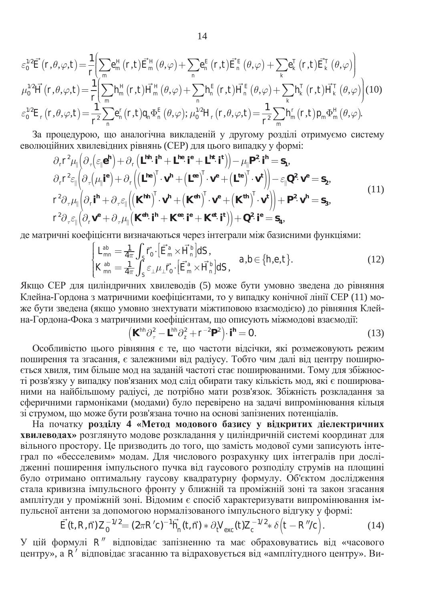$$
\varepsilon_0^{1/2} \vec{E}(r,\theta,\varphi,t) = \frac{1}{r} \Biggl[ \sum_m e_m^H(r,t) \vec{E}_m^H(\theta,\varphi) + \sum_n e_n^E(r,t) \vec{E}_n^E(\theta,\varphi) + \sum_k e_k^T(r,t) \vec{E}_k^T(\theta,\varphi) \Biggr]
$$
  
\n
$$
\mu_0^{1/2} \vec{H}(r,\theta,\varphi,t) = \frac{1}{r} \Biggl[ \sum_m h_m^H(r,t) \vec{H}_m^H(\theta,\varphi) + \sum_n h_n^E(r,t) \vec{H}_n^E(\theta,\varphi) + \sum_k h_k^T(r,t) \vec{H}_k^T(\theta,\varphi) \Biggr] (10)
$$
  
\n
$$
\varepsilon_0^{1/2} E_r(r,\theta,\varphi,t) = \frac{1}{r^2} \sum_n e_n^F(r,t) q_n \Phi_n^E(\theta,\varphi); \mu_0^{1/2} H_r(r,\theta,\varphi,t) = \frac{1}{r^2} \sum_m h_m^F(r,t) p_m \Phi_m^H(\theta,\varphi).
$$

За процедурою, що аналогічна викладеній у другому розділі отримуємо систему еволюційних хвилевілних рівнянь (СЕР) для цього випалку у формі:

$$
\partial_{r}r^{2}\mu_{\parallel}(\partial_{\tau}(\epsilon_{\parallel}e^{h}) + \partial_{r}(\mathbf{L}^{hh}\cdot\mathbf{i}^{h} + \mathbf{L}^{he}\cdot\mathbf{i}^{e} + \mathbf{L}^{ht}\cdot\mathbf{i}^{t})) - \mu_{\parallel}P^{2}\cdot\mathbf{i}^{h} = \mathbf{s}_{1},
$$
\n
$$
\partial_{r}r^{2}\epsilon_{\parallel}(\partial_{\tau}(\mu_{\parallel}\mathbf{i}^{e}) + \partial_{r}((\mathbf{L}^{he})^{T}\cdot\mathbf{v}^{h} + (\mathbf{L}^{ee})^{T}\cdot\mathbf{v}^{e} + (\mathbf{L}^{te})^{T}\cdot\mathbf{v}^{t})) - \epsilon_{\parallel}\mathbf{Q}^{2}\cdot\mathbf{v}^{e} = \mathbf{s}_{2},
$$
\n
$$
r^{2}\partial_{\tau}\mu_{\parallel}(\partial_{r}\mathbf{i}^{h} + \partial_{\tau}\epsilon_{\parallel}((\mathbf{K}^{hh})^{T}\cdot\mathbf{v}^{h} + (\mathbf{K}^{eh})^{T}\cdot\mathbf{v}^{e} + (\mathbf{K}^{th})^{T}\cdot\mathbf{v}^{t})) + \mathbf{P}^{2}\cdot\mathbf{v}^{h} = \mathbf{s}_{3},
$$
\n
$$
r^{2}\partial_{\tau}\epsilon_{\parallel}(\partial_{r}\mathbf{v}^{e} + \partial_{\tau}\mu_{\parallel}(\mathbf{K}^{eh}\cdot\mathbf{i}^{h} + \mathbf{K}^{ee}\cdot\mathbf{i}^{e} + \mathbf{K}^{et}\cdot\mathbf{i}^{t})) + \mathbf{Q}^{2}\cdot\mathbf{i}^{e} = \mathbf{s}_{4},
$$
\n(11)

де матричні коефіцієнти визначаються через інтеграли між базисними функціями:

$$
\begin{cases}\nL_{mn}^{ab} = \frac{1}{4\pi} \int_{S} \vec{r}_{0} \cdot \left[ \vec{E}_{m}^{a} \times \vec{H}_{n}^{b} \right] dS, \\
K_{mn}^{ab} = \frac{1}{4\pi} \int_{S} \varepsilon_{\perp} \mu_{\perp} \vec{r}_{0} \cdot \left[ \vec{E}_{m}^{a} \times \vec{H}_{n}^{b} \right] dS, \n\end{cases} a,b \in \{h,e,t\}.\n\tag{12}
$$

Якщо СЕР для циліндричних хвилеводів (5) може бути умовно зведена до рівняння Клейна-Гордона з матричними коефіцієнтами, то у випадку конічної лінії СЕР (11) може бути зведена (якщо умовно знехтувати міжтиповою взаємодією) до рівняння Клейна-Гордона-Фока з матричними коефіцієнтам, що описують міжмодові взаємодії:

$$
\left(\mathbf{K}^{hh}\partial_{\tau}^{2} - \mathbf{L}^{hh}\partial_{z}^{2} + r^{-2}\mathbf{P}^{2}\right)\cdot\mathbf{i}^{h} = 0.
$$
 (13)

Особливістю цього рівняння є те, що частоти відсічки, які розмежовують режим поширення та згасання, є залежними від радіусу. Тобто чим далі від центру поширю-€ться хвиля, тим більше мод на заданій частоті стає поширюваними. Тому для збіжності розв'язку у випадку пов'язаних мод слід обирати таку кількість мод, які є поширюваними на найбільшому радіусі, де потрібно мати розв'язок. Збіжність розкладання за сферичними гармоніками (модами) було перевірено на задачі випромінювання кільця зі струмом, що може бути розв'язана точно на основі запізнених потенціалів.

На початку розділу 4 «Метод модового базису у відкритих діелектричних **хвилеводах**» розглянуто модове розкладання у циліндричній системі координат для вільного простору. Це призводить до того, що замість модової суми записують інтеграл по «бесселевим» модам. Для числового розрахунку цих інтегралів при дослі-TЖЕННІ ПОШИРЕННЯ ІМПУЛЬСНОГО ПУЧКА ВІД ГАУСОВОГО РОЗПОДІЛУ СТРУМІВ НА ПЛОЩИНІ було отримано оптимальну гаусову квадратурну формулу. Об'єктом дослідження стала кривизна імпульсного фронту у ближній та проміжній зоні та закон згасання амплітуди у проміжній зоні. Відомим є спосіб характеризувати випромінювання імпульсної антени за допомогою нормалізованого імпульсного відгуку у формі:

$$
\vec{E}(t, R, \vec{n}) Z_0^{-1/2} = (2\pi R' c)^{-1} \vec{h}_n(t, \vec{n}) * \partial_t V_{\text{exc}}(t) Z_c^{-1/2} * \delta(t - R''/c).
$$
(14)

У цій формулі R<sup>"</sup> відповідає запізненню та має обраховуватись від «часового центру», а R<sup>'</sup> відповідає згасанню та відраховується від «амплітудного центру». Ви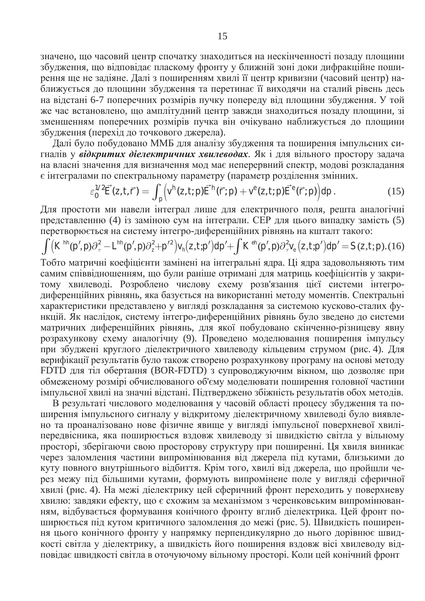значено, що часовий центр спочатку знаходиться на нескінченності позаду площини збудження, що відповідає пласкому фронту у ближній зоні доки дифракційне поширення ще не задіяне. Далі з поширенням хвилі її центр кривизни (часовий центр) наближується до площини збудження та перетинає її виходячи на сталий рівень десь на відстані 6-7 поперечних розмірів пучку попереду від площини збудження. У той же час встановлено, що амплітудний центр завжди знаходиться позаду площини, зі зменшенням поперечних розмірів пучка він очікувано наближується до плошини збудження (перехід до точкового джерела).

Иалі було побудовано ММБ для аналізу збудження та поширення імпульсних сигналів у **відкритих діелектричних хвилеводах**. Як і для вільного простору задача на власні значення для визначення мод має неперервний спектр, модові розкладання  $\epsilon$  інтегралами по спектральному параметру (параметр розділення змінних.

$$
\varepsilon_0^{1/2} \vec{E}(z, t, \vec{r}) = \int_{\rho} \left( v^h(z, t; \rho) \vec{E}^h(\vec{r}; \rho) + v^e(z, t; \rho) \vec{E}^e(\vec{r}; \rho) \right) d\rho. \tag{15}
$$

Для простоти ми навели інтеграл лише для електричного поля, решта аналогічні представленню (4) із заміною сум на інтеграли. СЕР для цього випадку замість (5) перетворюється на систему інтегро-диференційних рівнянь на кшталт такого:

$$
\int \left( K^{hh}(\rho',\rho)\partial_{\tau}^2 - L^{hh}(\rho',\rho)\partial_{z}^2 + \rho'^2 \right) V_h(z,t;\rho') d\rho' + \int K^{eh}(\rho',\rho)\partial_{\tau}^2 V_e(z,t;\rho') d\rho' = S(z,t;\rho). \tag{16}
$$

Тобто матричні коефіцієнти замінені на інтегральні ядра. Ці ядра задовольняють тим самим співвідношенням, що були раніше отримані для матриць коефіцієнтів у закритому хвилеводі. Розроблено числову схему розв'язання цієї системи інтегродиференційних рівнянь, яка базується на використанні методу моментів. Спектральні характеристики представлено у вигляді розкладання за системою кусково-сталих функцій. Як наслідок, систему інтегро-диференційних рівнянь було зведено до системи матричних диференційних рівнянь, для якої побудовано скінченно-різницеву явну розрахункову схему аналогічну (9). Проведено моделювання поширення імпульсу при збуджені круглого діелектричного хвилеводу кільцевим струмом (рис. 4). Для верифікації результатів було також створено розрахункову програму на основі методу FDTD для тіл обертання (BOR-FDTD) з супроводжуючим вікном, що дозволяє при обмеженому розмірі обчислюваного об'єму моделювати поширення головної частини імпульсної хвилі на значні відстані. Підтверджено збіжність результатів обох методів.

В результаті числового моделювання у часовій області процесу збудження та поширення імпульсного сигналу у відкритому дієлектричному хвилеводі було виявлено та проаналізовано нове фізичне явище у вигляді імпульсної поверхневої хвиліпередвісника, яка поширюється вздовж хвилеводу зі швидкістю світла у вільному просторі, зберігаючи свою просторову структуру при поширенні. Ця хвиля виникає через заломлення частини випромінювання від джерела під кутами, близькими до куту повного внутрішнього відбиття. Крім того, хвилі від джерела, що пройшли через межу під більшими кутами, формують випромінене поле у вигляді сферичної хвилі (рис. 4). На межі дієлектрику цей сферичний фронт переходить у поверхневу хвилю: завдяки ефекту, що є схожим за механізмом з черенковським випромінюванням, відбувається формування конічного фронту вглиб дієлектрика. Цей фронт поширюється під кутом критичного заломлення до межі (рис. 5). Швидкість поширення цього конічного фронту у напрямку перпендикулярно до нього дорівнює швидкості світла у діелектрику, а швидкість його поширення вздовж вісі хвилеводу відповідає швидкості світла в оточуючому вільному просторі. Коли цей конічний фронт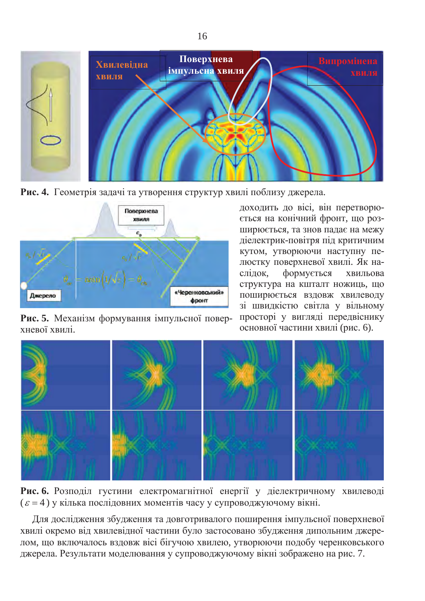

Рис. 4. Геометрія задачі та утворення структур хвилі поблизу джерела.



Рис. 5. Механізм формування імпульсної поверхневої хвилі.

доходить до вісі, він перетворюється на конічний фронт, що розширюється, та знов падає на межу діелектрик-повітря під критичним кутом, утворюючи наступну пелюстку поверхневої хвилі. Як наслідок, формується хвильова структура на кшталт ножиць, що поширюється вздовж хвилеводу зі швидкістю світла у вільному просторі у вигляді передвіснику основної частини хвилі (рис. 6).



Рис. 6. Розподіл густини електромагнітної енергії у діелектричному хвилеводі  $(\varepsilon = 4)$  у кілька послідовних моментів часу у супроводжуючому вікні.

Для дослідження збудження та довготривалого поширення імпульсної поверхневої хвилі окремо від хвилевідної частини було застосовано збудження дипольним джерелом, що включалось вздовж вісі бігучою хвилею, утворюючи подобу черенковського джерела. Результати моделювання у супроводжуючому вікні зображено на рис. 7.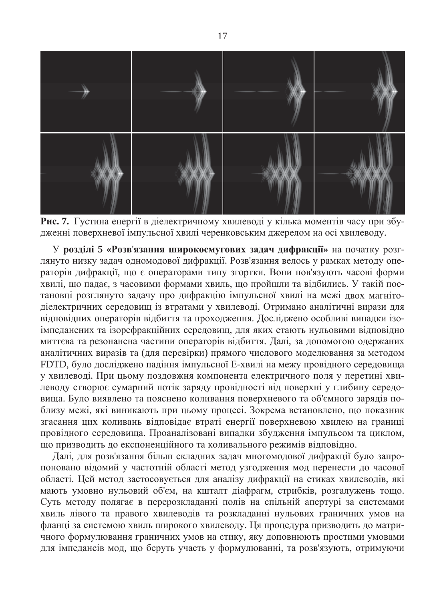

Рис. 7. Густина енергії в діелектричному хвилеводі у кілька моментів часу при збудженні поверхневої імпульсної хвилі черенковським джерелом на осі хвилеводу.

У розділі 5 «Розв'язання широкосмугових задач дифракції» на початку розглянуто низку задач одномодової дифракції. Розв'язання велось у рамках методу операторів дифракції, що є операторами типу згортки. Вони пов'язують часові форми хвилі, що падає, з часовими формами хвиль, що пройшли та відбились. У такій постановці розглянуто задачу про дифракцію імпульсної хвилі на межі двох магнітодіелектричних середовищ із втратами у хвилеводі. Отримано аналітичні вирази для відповідних операторів відбиття та проходження. Досліджено особливі випадки ізоімпедансних та ізорефракційних середовищ, для яких стають нульовими відповідно миттєва та резонансна частини операторів відбиття. Далі, за допомогою одержаних аналітичних виразів та (для перевірки) прямого числового моделювання за методом FDTD, було досліджено падіння імпульсної Е-хвилі на межу провідного середовища у хвилеводі. При цьому поздовжня компонента електричного поля у перетині хвилеводу створює сумарний потік заряду провідності від поверхні у глибину середовища. Було виявлено та пояснено коливання поверхневого та об'ємного зарядів поблизу межі, які виникають при цьому процесі. Зокрема встановлено, що показник згасання цих коливань відповідає втраті енергії поверхневою хвилею на границі провідного середовища. Проаналізовані випадки збудження імпульсом та циклом, що призводить до експоненційного та коливального режимів відповідно.

Далі, для розв'язання більш складних задач многомодової дифракції було запропоновано відомий у частотній області метод узгодження мод перенести до часової області. Цей метод застосовується для аналізу дифракції на стиках хвилеводів, які мають умовно нульовий об'єм, на кшталт діафрагм, стрибків, розгалужень тощо. Суть методу полягає в перерозкладанні полів на спільній апертурі за системами хвиль лівого та правого хвилеводів та розкладанні нульових граничних умов на фланці за системою хвиль широкого хвилеводу. Ця процедура призводить до матричного формулювання граничних умов на стику, яку доповнюють простими умовами для імпедансів мод, що беруть участь у формулюванні, та розв'язують, отримуючи

17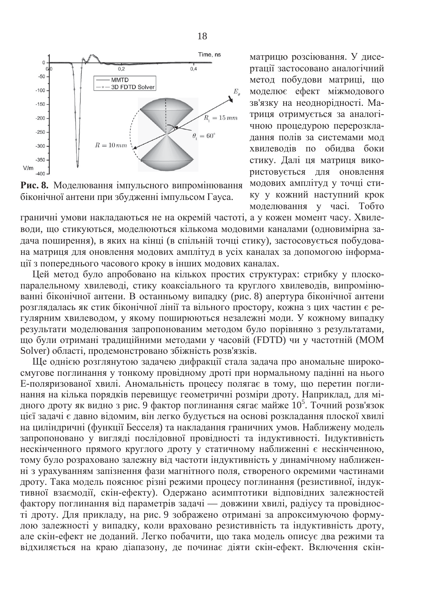



матрицю розсіювання. У дисертації застосовано аналогічний метод побудови матриці, що моделює ефект міжмодового зв'язку на неоднорідності. Матриця отримується за аналогічною процедурою перерозкладання полів за системами мод хвилеводів по обидва боки стику. Далі ця матриця використовується для оновлення модових амплітуд у точці стику у кожний наступний крок моделювання у часі. Тобто

граничні умови накладаються не на окремій частоті, а у кожен момент часу. Хвилеводи, що стикуються, моделюються кількома модовими каналами (одновимірна задача поширення), в яких на кінці (в спільній точці стику), застосовується побудована матриця для оновлення модових амплітуд в усіх каналах за допомогою інформації з попереднього часового кроку в інших модових каналах.

Цей метод було апробовано на кількох простих структурах: стрибку у плоскопаралельному хвилеводі, стику коаксіального та круглого хвилеводів, випромінюванні біконічної антени. В останньому випадку (рис. 8) апертура біконічної антени розглядалась як стик біконічної лінії та вільного простору, кожна з цих частин є ре-•<br>гулярним хвилеводом, у якому поширюються незалежні моди. У кожному випадку результати моделювання запропонованим методом було порівняно з результатами, що були отримані традиційними методами у часовій (FDTD) чи у частотній (MOM Solver) області, продемонстровано збіжність розв'язків.

Ще однією розглянутою задачею дифракції стала задача про аномальне широкосмугове поглинання у тонкому провідному дроті при нормальному падінні на нього Е-поляризованої хвилі. Аномальність процесу полягає в тому, що перетин поглинання на кілька порядків перевищує геометричні розміри дроту. Наприклад, для мідного дроту як видно з рис. 9 фактор поглинання сягає майже 10<sup>5</sup>. Точний розв'язок цієї задачі є давно відомим, він легко будується на основі розкладання плоскої хвилі на циліндричні (функції Бесселя) та накладання граничних умов. Наближену модель запропоновано у вигляді послідовної провідності та індуктивності. Індуктивність нескінченного прямого круглого дроту у статичному наближенні є нескінченною, тому було розраховано залежну від частоти індуктивність у динамічному наближенні з урахуванням запізнення фази магнітного поля, створеного окремими частинами дроту. Така модель пояснює різні режими процесу поглинання (резистивної, індуктивної взаємодії, скін-ефекту). Одержано асимптотики відповідних залежностей фактору поглинання від параметрів задачі — довжини хвилі, радіусу та провіднос- $\overline{1}$ н дроту. Для прикладу, на рис. 9 зображено отримані за апроксимуючою формулою залежності у випадку, коли враховано резистивність та індуктивність дроту, але скін-ефект не доданий. Легко побачити, що така модель описує два режими та відхиляється на краю діапазону, де починає діяти скін-ефект. Включення скін-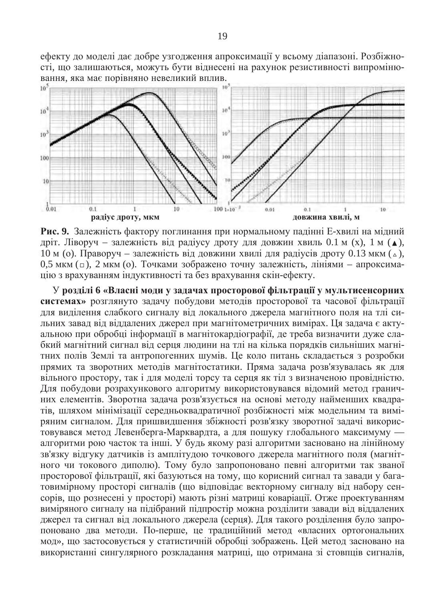ефекту до моделі дає добре узгодження апроксимації у всьому діапазоні. Розбіжності, що залишаються, можуть бути віднесені на рахунок резистивності випромінювання, яка має порівняно невеликий вплив.<br>10<sup>5</sup>



Рис. 9. Залежність фактору поглинання при нормальному падінні Е-хвилі на мідний дріт. Ліворуч – залежність від радіусу дроту для довжин хвиль 0.1 м (х), 1 м ( $\blacktriangle$ ),  $10 \text{ M}$  (о). Праворуч – залежність від довжини хвилі для радіусів дроту 0.13 мкм ( $\Delta$ ), 0,5 мкм ( $\Box$ ), 2 мкм (о). Точками зображено точну залежність, лініями – апроксимацію з врахуванням індуктивності та без врахування скін-ефекту.

У розділі 6 «Власні моди у задачах просторової фільтрації у мультисенсорних **системах**» розглянуто задачу побудови методів просторової та часової фільтрації для виділення слабкого сигналу від локального джерела магнітного поля на тлі сильних завад від віддалених джерел при магнітометричних вимірах. Ця задача є актуальною при обробці інформації в магнітокардіографії, де треба визначити дуже слабкий магнітний сигнал від серця людини на тлі на кілька порядків сильніших магнітних полів Землі та антропогенних шумів. Це коло питань складається з розробки прямих та зворотних методів магнітостатики. Пряма задача розв'язувалась як для **вільного простору, так і для моделі торсу та серця як тіл з визначеною провідністю.** Для побудови розрахункового алгоритму використовувався відомий метод граничних елементів. Зворотна задача розв'язується на основі методу найменших квадратів, шляхом мінімізації середньоквадратичної розбіжності між модельним та виміряним сигналом. Для пришвидшення збіжності розв'язку зворотної задачі використовувався метод Левенберга-Марквардта, а для пошуку глобального максимуму алгоритми рою часток та інші. У будь якому разі алгоритми засновано на лінійному зв'язку відгуку датчиків із амплітудою точкового джерела магнітного поля (магнітного чи токового диполю). Тому було запропоновано певні алгоритми так званої просторової фільтрації, які базуються на тому, що корисний сигнал та завади у багатовимірному просторі сигналів (що відповідає векторному сигналу від набору сенсорів, що рознесені у просторі) мають різні матриці коваріації. Отже проектуванням аниряного сигналу на підібраний підпростір можна розділити завади від віддалених джерел та сигнал від локального джерела (серця). Для такого розділення було запропоновано два методи. По-перше, це традиційний метод «власних ортогональних мод», що застосовується у статистичній обробці зображень. Цей метод засновано на використанні сингулярного розкладання матриці, що отримана зі стовпців сигналів,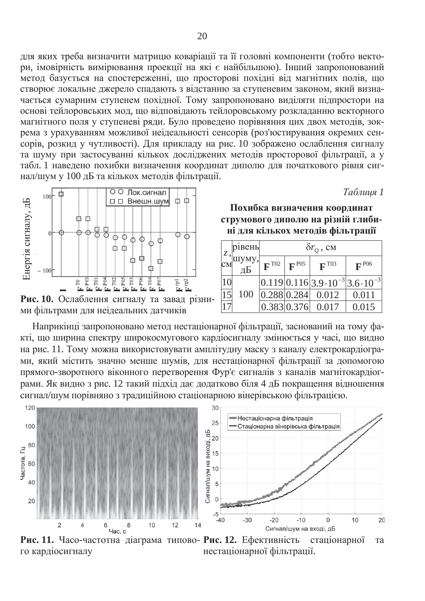для яких треба визначити матрицю коваріації та її головні компоненти (тобто вектори, імовірність вимірювання проекції на які є найбільшою). Інший запропонований иетод базується на спостереженні, що просторові похідні від магнітних полів, що створює локальне джерело спадають з відстанню за ступеневим законом, який визначається сумарним ступенем похідної. Тому запропоновано виділяти підпростори на основі тейлоровських мод, що відповідають тейлоровському розкладанню векторного магнітного поля у ступеневі ряди. Було проведено порівняння цих двох методів, зокрема з урахуванням можливої неідеальності сенсорів (роз'юстирування окремих сенсорів, розкид у чутливості). Для прикладу на рис. 10 зображено ослаблення сигналу та шуму при застосуванні кількох досліджених методів просторової фільтрації, а у табл. 1 наведено похибки визначення координат диполю для початкового рівня сигнал/шум у 100 дБ та кількох методів фільтрації.

 $Ta$ *блиця* 1



Рис. 10. Ослаблення сигналу та завад різними фільтрами для неідеальних датчиків

Похибка визначення координат струмового диполю на різній глиби**ні для кількох методів фільтрації** 

| $\overline{z}$ , | рівень               | $\delta r_O^{\phantom{\dagger}}$ , CM |                           |                           |                                                                                 |
|------------------|----------------------|---------------------------------------|---------------------------|---------------------------|---------------------------------------------------------------------------------|
| CM               | ' шуму, $\mathbb{E}$ | $\mathbf{F}^{\text{TO2}}$             | $\mathbf{F}^{\text{P05}}$ | $\mathbf{F}^{\text{T}03}$ | $\mathbf{F}^{P06}$                                                              |
| 10               | 100                  |                                       |                           |                           | $\left  0.119 \right  0.116 \left  3.9 \cdot 10^{-3} \right  3.6 \cdot 10^{-3}$ |
| 15               |                      |                                       |                           | $ 0.288 0.284 $ 0.012     | 0.011                                                                           |
|                  |                      |                                       |                           | 0.383 0.376 0.017         | 0.015                                                                           |

Наприкінці запропоновано метод нестаціонарної фільтрації, заснований на тому факті, що ширина спектру широкосмугового кардіосигналу змінюється у часі, що видно на рис. 11. Тому можна використовувати амплітудну маску з каналу електрокардіограми, який містить значно менше шумів, для нестаціонарної фільтрації за допомогою прямого-зворотного віконного перетворення Фур'є сигналів з каналів магнітокардіограми. Як видно з рис. 12 такий підхід дає додатково біля 4 дБ покращення відношення сигнал/шум порівняно з традиційною стаціонарною вінерівською фільтрацією.



Рис. 11. Часо-частотна діаграма типово- Рис. 12. Ефективність стаціонарної та го кардіосигналу нестаціонарної фільтрації.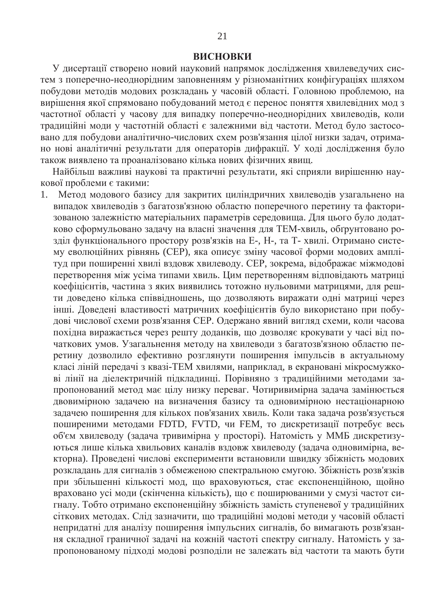#### **ВИСНОВКИ**

У дисертації створено новий науковий напрямок дослідження хвилеведучих систем з поперечно-неоднорідним заповненням у різноманітних конфігураціях шляхом побудови методів модових розкладань у часовій області. Головною проблемою, на вирішення якої спрямовано побудований метод є перенос поняття хвилевідних мод з частотної області у часову для випадку поперечно-неоднорідних хвилеводів, коли традиційні моди у частотній області є залежними від частоти. Метод було застосоъмно для побудови аналітично-числових схем розв'язання цілої низки задач, отримано нові аналітичні результати для операторів дифракції. У ході дослідження було також виявлено та проаналізовано кілька нових фізичних явищ.

Найбільш важливі наукові та практичні результати, які сприяли вирішенню наукової проблеми є такими:

1. Метод модового базису для закритих циліндричних хвилеводів узагальнено на випадок хвилеводів з багатозв'язною областю поперечного перетину та факторизованою залежністю матеріальних параметрів середовища. Для цього було додатково сформульовано задачу на власні значення для ТЕМ-хвиль, обґрунтовано розділ функціонального простору розв'язків на Е-, Н-, та Т- хвилі. Отримано систему еволюційних рівнянь (СЕР), яка описує зміну часової форми модових амплітуд при поширенні хвилі вздовж хвилеводу. СЕР, зокрема, відображає міжмодові перетворення між усіма типами хвиль. Цим перетворенням відповідають матриці коефіцієнтів, частина з яких виявились тотожно нульовими матрицями, для решти доведено кілька співвідношень, що дозволяють виражати одні матриці через інші. Доведені властивості матричних коефіцієнтів було використано при побудові числової схеми розв'язання СЕР. Одержано явний вигляд схеми, коли часова похідна виражається через решту доданків, що дозволяє крокувати у часі від початкових умов. Узагальнення методу на хвилеводи з багатозв'язною областю перетину дозволило ефективно розглянути поширення імпульсів в актуальному класі ліній передачі з квазі-ТЕМ хвилями, наприклад, в екрановані мікросмужкові лінії на дієлектричній підкладинці. Порівняно з традиційними методами запропонований метод має цілу низку переваг. Чотиривимірна задача замінюється двовимірною задачею на визначення базису та одновимірною нестаціонарною задачею поширення для кількох пов'язаних хвиль. Коли така задача розв'язується поширеними методами FDTD, FVTD, чи FEM, то дискретизації потребує весь об'єм хвилеводу (задача тривимірна у просторі). Натомість у ММБ дискретизуються лише кілька хвильових каналів вздовж хвилеводу (задача одновимірна, векторна). Проведені числові експерименти встановили швидку збіжність модових розкладань для сигналів з обмеженою спектральною смугою. Збіжність розв'язків при збільшенні кількості мод, що враховуються, стає експоненційною, щойно х враховано усі моди (скінченна кількість), що є поширюваними у смузі частот сигналу. Тобто отримано експоненційну збіжність замість ступеневої у традиційних сіткових методах. Слід зазначити, що традиційні модові методи у часовій області непридатні для аналізу поширення імпульсних сигналів, бо вимагають розв'язання складної граничної задачі на кожній частоті спектру сигналу. Натомість у запропонованому підході модові розподіли не залежать від частоти та мають бути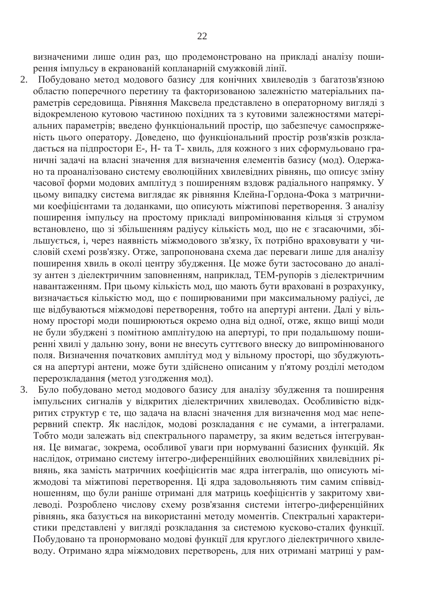визначеними лише один раз, що продемонстровано на прикладі аналізу поширення імпульсу в екранованій копланарній смужковій лінії.

- 2. Побудовано метод модового базису для конічних хвилеводів з багатозв'язною областю поперечного перетину та факторизованою залежністю матеріальних параметрів середовища. Рівняння Максвела представлено в операторному вигляді з відокремленою кутовою частиною похідних та з кутовими залежностями матеріальних параметрів; введено функціональний простір, що забезпечує самоспряженість цього оператору. Доведено, що функціональний простір розв'язків розкладається на підпростори Е-, Н- та Т- хвиль, для кожного з них сформульовано граничні задачі на власні значення для визначення елементів базису (мод). Одержано та проаналізовано систему еволюційних хвилевідних рівнянь, що описує зміну часової форми модових амплітуд з поширенням вздовж радіального напрямку. У цьому випадку система виглядає як рівняння Клейна-Гордона-Фока з матричними коефіцієнтами та доданками, що описують міжтипові перетворення. З аналізу поширення імпульсу на простому прикладі випромінювання кільця зі струмом встановлено, що зі збільшенням радіусу кількість мод, що не є згасаючими, збільшується, і, через наявність міжмодового зв'язку, їх потрібно враховувати у числовій схемі розв'язку. Отже, запропонована схема дає переваги лише для аналізу поширення хвиль в околі центру збудження. Це може бути застосовано до аналізу антен з діелектричним заповненням, наприклад, ТЕМ-рупорів з діелектричним навантаженням. При цьому кількість мод, що мають бути враховані в розрахунку, визначається кількістю мод, що є поширюваними при максимальному радіусі, де ще відбуваються міжмодові перетворення, тобто на апертурі антени. Далі у вільному просторі моди поширюються окремо одна від одної, отже, якщо вищі моди не були збуджені з помітною амплітудою на апертурі, то при подальшому поширенні хвилі у дальню зону, вони не внесуть суттєвого внеску до випромінюваного толя. Визначення початкових амплітуд мод у вільному просторі, що збуджуються на апертурі антени, може бути здійснено описаним у п'ятому розділі методом перерозкладання (метод узгодження мод).
- 3. Було побудовано метод модового базису для аналізу збудження та поширення імпульсних сигналів у відкритих дієлектричних хвилеводах. Особливістю відкритих структур є те, що задача на власні значення для визначення мод має неперервний спектр. Як наслідок, модові розкладання є не сумами, а інтегралами. • Тобто моди залежать від спектрального параметру, за яким ведеться інтегрування. Це вимагає, зокрема, особливої уваги при нормуванні базисних функцій. Як наслідок, отримано систему інтегро-диференційних еволюційних хвилевідних рівнянь, яка замість матричних коефіцієнтів має ядра інтегралів, що описують міжмодові та міжтипові перетворення. Ці ядра задовольняють тим самим співвідношенням, що були раніше отримані для матриць коефіцієнтів у закритому хвилеводі. Розроблено числову схему розв'язання системи інтегро-диференційних рівнянь, яка базується на використанні методу моментів. Спектральні характеристики представлені у вигляді розкладання за системою кусково-сталих функції. Побудовано та пронормовано модові функції для круглого діелектричного хвилеводу. Отримано ядра міжмодових перетворень, для них отримані матриці у рам-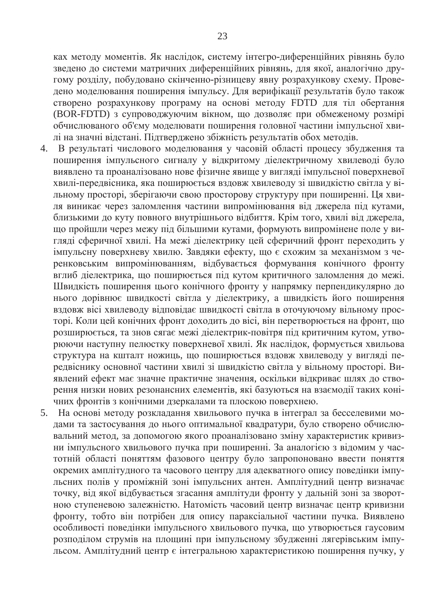ках методу моментів. Як наслідок, систему інтегро-диференційних рівнянь було зведено до системи матричних диференційних рівнянь, для якої, аналогічно другому розділу, побудовано скінченно-різницеву явну розрахункову схему. Проведено моделювання поширення імпульсу. Для верифікації результатів було також створено розрахункову програму на основі методу FDTD для тіл обертання (BOR-FDTD) з супроводжуючим вікном, що дозволяє при обмеженому розмірі обчислюваного об'єму моделювати поширення головної частини імпульсної хвилі на значні відстані. Підтверджено збіжність результатів обох методів.

- 4. В результаті числового моделювання у часовій області процесу збудження та поширення імпульсного сигналу у відкритому діелектричному хвилеводі було **ЕЗИЗИЗИ ВИЯВЛЕНО ТА ПРОДНАЛИЗОВАНО НОВЕ ФИЗИЧНЕ ЯВИЩЕ У ВИГЛЯДІ ІМПУЛЬСНОЇ ПОВЕРХНЕВОЇ** хвилі-передвісника, яка поширюється вздовж хвилеводу зі швидкістю світла у вільному просторі, зберігаючи свою просторову структуру при поширенні. Ця хвиля виникає через заломлення частини випромінювання від джерела під кутами, ена известные чаров и совможность частные истровные историчные историчные историчные историчные историчные историчн<br>близькими до куту повного внутрішнього відбиття. Крім того, хвилі від джерела, що пройшли через межу під більшими кутами, формують випромінене поле у вигляді сферичної хвилі. На межі діелектрику цей сферичний фронт переходить у імпульсну поверхневу хвилю. Завдяки ефекту, що є схожим за механізмом з черенковським випромінюванням, відбувається формування конічного фронту • вглиб діелектрика, що поширюється під кутом критичного заломлення до межі. Швидкість поширення цього конічного фронту у напрямку перпендикулярно до нього дорівнює швидкості світла у діелектрику, а швидкість його поширення вздовж вісі хвилеводу відповідає швидкості світла в оточуючому вільному просторі. Коли цей конічних фронт доходить до вісі, він перетворюється на фронт, що розширюється, та знов сягає межі діелектрик-повітря під критичним кутом, утвопитета и поверхневої хвилі. Як наслідок, формується хвильова а<br>• структура на кшталт ножиць, що поширюється вздовж хвилеводу у вигляді пеpедвіснику основної частини хвилі зі швидкістю світла у вільному просторі. Виавлений ефект має значне практичне значення, оскільки відкриває шлях до створення низки нових резонансних елементів, які базуються на взаємодії таких конітних фронтів з конічними дзеркалами та плоскою поверхнею.
- 5. На основі методу розкладання хвильового пучка в інтеграл за бесселевими модами та застосування до нього оптимальної квадратури, було створено обчислювальний метод, за допомогою якого проаналізовано зміну характеристик кривизни імпульсного хвильового пучка при поширенні. За аналогією з відомим у частотній області поняттям фазового центру було запропоновано ввести поняття окремих амплітудного та часового центру для адекватного опису поведінки імпульсних полів у проміжній зоні імпульсних антен. Амплітудний центр визначає точку, від якої відбувається згасання амплітуди фронту у дальній зоні за зворотною ступеневою залежністю. Натомість часовий центр визначає центр кривизни фронту, тобто він потрібен для опису параксіальної частини пучка. Виявлено ɨɫɨɛɥɢɜɨɫɬɿ ɩɨɜɟɞɿɧɤɢ ɿɦɩɭɥɶɫɧɨɝɨ ɯɜɢɥɶɨɜɨɝɨ ɩɭɱɤɚ, ɳɨ ɭɬɜɨɪɸɽɬɶɫɹ ɝɚɭɫɨɜɢɦ розподілом струмів на площині при імпульсному збудженні лягерівським імпульсом. Амплітудний центр є інтегральною характеристикою поширення пучку, у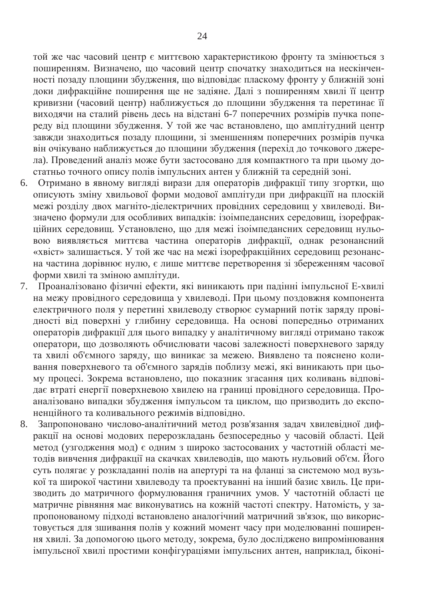той же час часовий центр є миттєвою характеристикою фронту та змінюється з поширенням. Визначено, що часовий центр спочатку знаходиться на нескінченності позаду площини збудження, що відповідає пласкому фронту у ближній зоні доки дифракційне поширення ще не задіяне. Далі з поширенням хвилі її центр кривизни (часовий центр) наближується до площини збудження та перетинає її виходячи на сталий рівень десь на відстані 6-7 поперечних розмірів пучка попереду від площини збудження. У той же час встановлено, що амплітудний центр завжди знаходиться позаду площини, зі зменшенням поперечних розмірів пучка він очікувано наближується до площини збудження (перехід до точкового джерела). Проведений аналіз може бути застосовано для компактного та при цьому достатньо точного опису полів імпульсних антен у ближній та середній зоні.

- 6. Отримано в явному вигляді вирази для операторів дифракції типу згортки, що описують зміну хвильової форми модової амплітуди при дифракціїї на плоскій межі розділу двох магніто-дієлектричних провідних середовищ у хвилеводі. Визначено формули для особливих випадків: ізоімпедансних середовищ, ізорефракційних середовищ. Установлено, що для межі ізоімпедансних середовищ нульовою виявляється миттєва частина операторів дифракції, однак резонансний «хвіст» залишається. У той же час на межі ізорефракційних середовищ резонансна частина дорівнює нулю, є лише миттєве перетворення зі збереженням часової форми хвилі та зміною амплітуди.
- 7. Проаналізовано фізичні ефекти, які виникають при падінні імпульсної Е-хвилі на межу провідного середовища у хвилеводі. При цьому поздовжня компонента електричного поля у перетині хвилеводу створює сумарний потік заряду провідності від поверхні у глибину середовища. На основі попередньо отриманих операторів дифракції для цього випадку у аналітичному вигляді отримано також оператори, що дозволяють обчислювати часові залежності поверхневого заряду та хвилі об'ємного заряду, що виникає за межею. Виявлено та пояснено коливання поверхневого та об'ємного зарядів поблизу межі, які виникають при цьому процесі. Зокрема встановлено, що показник згасання цих коливань відповідає втраті енергії поверхневою хвилею на границі провідного середовища. Проаналізовано випадки збудження імпульсом та циклом, що призводить до експоненційного та коливального режимів відповідно.
- 8. Запропоновано числово-аналітичний метод розв'язання задач хвилевідної дифракції на основі модових перерозкладань безпосередньо у часовій області. Цей нетод (узгодження мод) є одним з широко застосованих у частотній області методів вивчення дифракції на скачках хвилеводів, що мають нульовий об'єм. Його суть полягає у розкладанні полів на апертурі та на фланці за системою мод вузької та широкої частини хвилеводу та проектуванні на інший базис хвиль. Це призводить до матричного формулювання граничних умов. У частотній області це матричне рівняння має виконуватись на кожній частоті спектру. Натомість, у запропонованому підході встановлено аналогічний матричний зв'язок, що використовується для зшивання полів у кожний момент часу при моделюванні поширення хвилі. За допомогою цього методу, зокрема, було досліджено випромінювання імпульсної хвилі простими конфігураціями імпульсних антен, наприклад, біконі-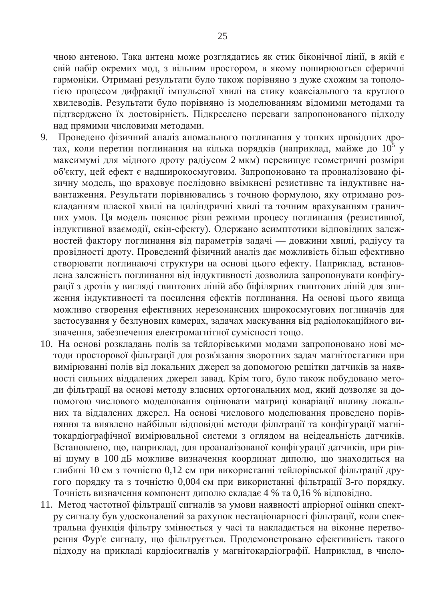чною антеною. Така антена може розглядатись як стик біконічної лінії, в якій є свій набір окремих мод, з вільним простором, в якому поширюються сферичні гармоніки. Отримані результати було також порівняно з дуже схожим за тополотією процесом дифракції імпульсної хвилі на стику коаксіального та круглого хвилеводів. Результати було порівняно із моделюванням відомими методами та підтверджено їх достовірність. Підкреслено переваги запропонованого підходу над прямими числовими методами.

- 9. Проведено фізичний аналіз аномального поглинання у тонких провідних дротах, коли перетин поглинання на кілька порядків (наприклад, майже до  $10^5$  у максимумі для мідного дроту радіусом 2 мкм) перевищує геометричні розміри об'єкту, цей ефект є надширокосмуговим. Запропоновано та проаналізовано фізичну модель, що враховує послідовно ввімкнені резистивне та індуктивне навантаження. Результати порівнювались з точною формулою, яку отримано розкладанням пласкої хвилі на циліндричні хвилі та точним врахуванням граничних умов. Ця модель пояснює різні режими процесу поглинання (резистивної, індуктивної взаємодії, скін-ефекту). Одержано асимптотики відповідних залежностей фактору поглинання від параметрів задачі — довжини хвилі, радіусу та провідності дроту. Проведений фізичний аналіз дає можливість більш ефективно • створювати поглинаючі структури на основі цього ефекту. Наприклад, встановлена залежність поглинання від індуктивності дозволила запропонувати конфігурації з дротів у вигляді гвинтових ліній або біфілярних гвинтових ліній для зниження індуктивності та посилення ефектів поглинання. На основі цього явища можливо створення ефективних нерезонансних широкосмугових поглиначів для застосування у безлунових камерах, задачах маскування від радіолокаційного визначення, забезпечення електромагнітної сумісності тощо.
- 10. На основі розкладань полів за тейлорівськими модами запропоновано нові методи просторової фільтрації для розв'язання зворотних задач магнітостатики при вимірюванні полів від локальних джерел за допомогою решітки датчиків за наявності сильних віддалених джерел завад. Крім того, було також побудовано методи фільтрації на основі методу власних ортогональних мод, який дозволяє за допомогою числового моделювання оцінювати матриці коваріації впливу локальних та віддалених джерел. На основі числового моделювання проведено порівняння та виявлено найбільш відповідні методи фільтрації та конфігурації магнітокардіографічної вимірювальної системи з оглядом на неідеальність датчиків. Встановлено, що, наприклад, для проаналізованої конфігурації датчиків, при рівні шуму в 100 дБ можливе визначення координат диполю, що знаходиться на глибині 10 см з точністю 0,12 см при використанні тейлорівської фільтрації другого порядку та з точністю 0,004 см при використанні фільтрації 3-го порядку. Точність визначення компонент диполю складає 4 % та 0,16 % відповідно.
- 11. Метод частотної фільтрації сигналів за умови наявності апріорної оцінки спектру сигналу був удосконалений за рахунок нестаціонарності фільтрації, коли спекъъвна функція фільтру змінюється у часі та накладається на віконне перетвогення Фур'є сигналу, що фільтрується. Продемонстровано ефективність такого підходу на прикладі кардіосигналів у магнітокардіографії. Наприклад, в число-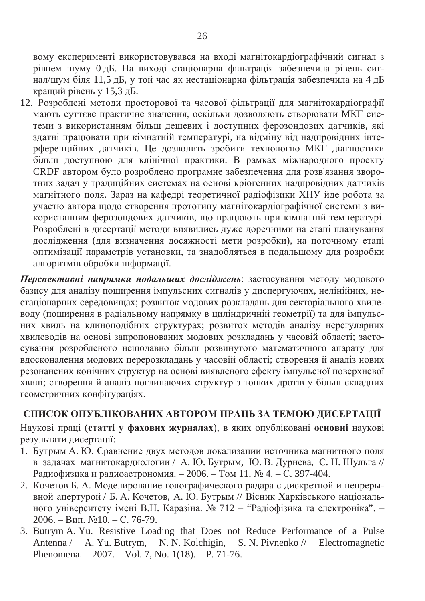вому експерименті використовувався на вході магнітокардіографічний сигнал з рівнем шуму 0 дБ. На виході стаціонарна фільтрація забезпечила рівень сигнал/шум біля 11,5 дБ, у той час як нестаціонарна фільтрація забезпечила на 4 дБ кращий рівень у 15,3 лБ.

12. Розроблені методи просторової та часової фільтрації для магнітокардіографії мають суттєве практичне значення, оскільки дозволяють створювати МКГ системи з використанням більш дешевих і доступних ферозондових датчиків, які здатні працювати при кімнатній температурі, на відміну від надпровідних інтерференційних датчиків. Це дозволить зробити технологію МКГ діагностики більш доступною для клінічної практики. В рамках міжнародного проекту СRDF автором було розроблено програмне забезпечення для розв'язання зворотних задач у традиційних системах на основі кріогенних надпровідних датчиків магнітного поля. Зараз на кафедрі теоретичної радіофізики ХНУ йде робота за участю автора щодо створення прототипу магнітокардіографічної системи з використанням ферозондових датчиків, що працюють при кімнатній температурі. Розроблені в дисертації методи виявились дуже доречними на етапі планування дослідження (для визначення досяжності мети розробки), на поточному етапі оптимізації параметрів установки, та знадобляться в подальшому для розробки алгоритмів обробки інформації.

Перспективні напрямки подальших досліджень: застосування методу модового базису для аналізу поширення імпульсних сигналів у диспергуючих, нелінійних, нестаціонарних середовищах; розвиток модових розкладань для секторіального хвилеводу (поширення в радіальному напрямку в циліндричній геометрії) та для імпульсних хвиль на клиноподібних структурах; розвиток методів аналізу нерегулярних хвилеводів на основі запропонованих модових розкладань у часовій області; застосування розробленого нещодавно більш розвинутого математичного апарату для вдосконалення модових перерозкладань у часовій області; створення й аналіз нових резонансних конічних структур на основі виявленого ефекту імпульсної поверхневої хвилі; створення й аналіз поглинаючих структур з тонких дротів у більш складних геометричних конфігураціях.

# СПИСОК ОПУБЛІКОВАНИХ АВТОРОМ ПРАЦЬ ЗА ТЕМОЮ ДИСЕРТАЦІЇ

Наукові праці (статті у фахових журналах), в яких опубліковані основні наукові результати дисертації:

- 1. Бутрым А. Ю. Сравнение двух методов локализации источника магнитного поля в задачах магнитокардиологии / А. Ю. Бутрым, Ю. В. Дурнева, С. Н. Шульга // Радиофизика и радиоастрономия. – 2006. – Том 11, № 4. – С. 397-404.
- 2. Кочетов Б. А. Моделирование голографического радара с дискретной и непрерывной апертурой / Б. А. Кочетов, А. Ю. Бутрым // Вісник Харківського національного університету імені В.Н. Каразіна. № 712 – "Радіофізика та електроніка". –  $2006. - B$ ип. №10. – С. 76-79.
- 3. Butrym A. Yu. Resistive Loading that Does not Reduce Performance of a Pulse Antenna / A. Yu. Butrym, N. N. Kolchigin, S. N. Pivnenko // Electromagnetic Phenomena. – 2007. – Vol. 7, No. 1(18). – P. 71-76.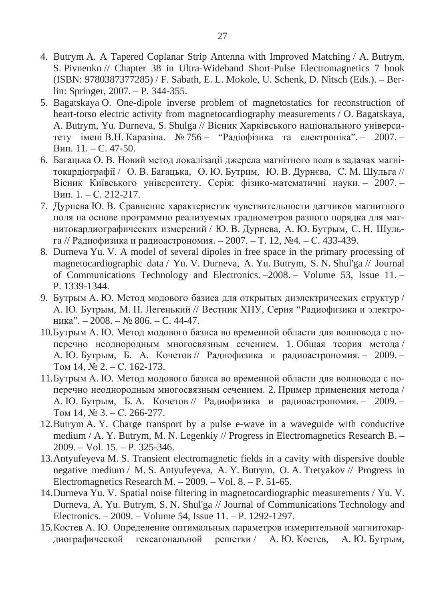- 4. Butrym A. A Tapered Coplanar Strip Antenna with Improved Matching / A. Butrym, S. Pivnenko // Chapter 38 in Ultra-Wideband Short-Pulse Electromagnetics 7 book (ISBN: 9780387377285) / F. Sabath, E. L. Mokole, U. Schenk, D. Nitsch (Eds.). – Berlin: Springer, 2007. – P. 344-355.
- 5. Bagatskaya O. One-dipole inverse problem of magnetostatics for reconstruction of heart-torso electric activity from magnetocardiography measurements / O. Bagatskaya, A. Butrym, Yu. Durneva, S. Shulga // Вісник Харківського національного університету імені В.Н. Каразіна. № 756 – "Радіофізика та електроніка". – 2007. – Вип. 11. – С. 47-50.
- 6. Багацька О. В. Новий метод локалізації джерела магнітного поля в задачах магнітокардіографії / О. В. Багацька, О. Ю. Бутрим, Ю. В. Дурнєва, С. М. Шульга // Вісник Київського університету. Серія: фізико-математичні науки. – 2007. – Вип. 1. – С. 212-217.
- 7. Дурнева Ю. В. Сравнение характеристик чувствительности датчиков магнитного толя на основе программно реализуемых градиометров разного порядка для магнитокардиографических измерений / Ю. В. Дурнева, А. Ю. Бутрым, С. Н. Шульга // Радиофизика и радиоастрономия. – 2007. – Т. 12, №4. – С. 433-439.
- 8. Durneva Yu. V. A model of several dipoles in free space in the primary processing of magnetocardiographic data / Yu. V. Durneva, A. Yu. Butrym, S. N. Shul'ga // Journal of Communications Technology and Electronics. –2008. – Volume 53, Issue 11. – P. 1339-1344.
- 9. Бутрым А. Ю. Метод модового базиса для открытых диэлектрических структур / А. Ю. Бутрым, М. Н. Легенький // Вестник ХНУ, Серия "Радиофизика и электроника". – 2008. – № 806. – С. 44-47.
- 10. Бутрым А. Ю. Метод модового базиса во временной области для волновода с поперечно неоднородным многосвязным сечением. 1. Общая теория метода/ А. Ю. Бутрым, Б. А. Кочетов // Радиофизика и радиоастрономия. – 2009. – Tom 14,  $\text{Ne } 2. - \text{C}$ . 162-173.
- 11. Бутрым А. Ю. Метод модового базиса во временной области для волновода с поперечно неоднородным многосвязным сечением. 2. Пример применения метода / А. Ю. Бутрым, Б. А. Кочетов // Радиофизика и радиоастрономия. – 2009. – Том 14,  $\overline{N_2}$  3. – С. 266-277.
- 12.Butrym A. Y. Charge transport by a pulse e-wave in a waveguide with conductive medium / A. Y. Butrym, M. N. Legenkiy // Progress in Electromagnetics Research B. – 2009. – Vol. 15. – P. 325-346.
- 13.Antyufeyeva M. S. Transient electromagnetic fields in a cavity with dispersive double negative medium / M. S. Antyufeyeva, A. Y. Butrym, O. A. Tretyakov // Progress in Electromagnetics Research M.  $-$  2009. – Vol. 8. – P. 51-65.
- 14.Durneva Yu. V. Spatial noise filtering in magnetocardiographic measurements / Yu. V. Durneva, A. Yu. Butrym, S. N. Shul'ga // Journal of Communications Technology and Electronics. – 2009. – Volume 54, Issue 11. – P. 1292-1297.
- 15. Костев А. Ю. Определение оптимальных параметров измерительной магнитокардиографической гексагональной решетки А. Ю. Костев, А. Ю. Бутрым,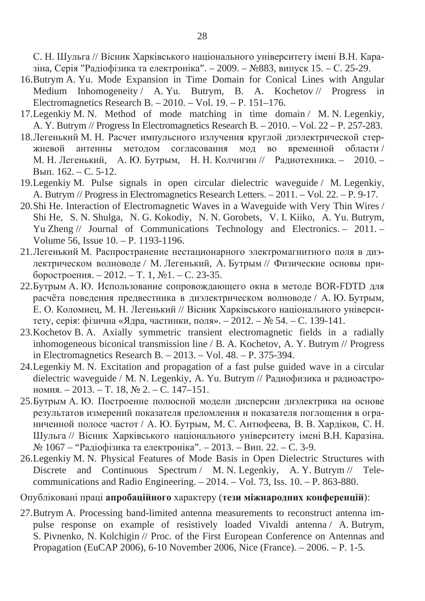С. Н. Шульга // Вісник Харківського національного університету імені В.Н. Каразіна, Серія "Радіофізика та електроніка". – 2009. – №883, випуск 15. – С. 25-29.

- 16.Butrym A. Yu. Mode Expansion in Time Domain for Conical Lines with Angular Medium Inhomogeneity / A. Yu. Butrym, B. A. Kochetov // Progress in Electromagnetics Research B. – 2010. – Vol. 19. – P. 151–176.
- 17.Legenkiy M. N. Method of mode matching in time domain / M. N. Legenkiy, A. Y. Butrym // Progress In Electromagnetics Research B. – 2010. – Vol. 22 – P. 257-283.
- 18. Легенький М. Н. Расчет импульсного излучения круглой диэлектрической стержневой антенны методом согласования мод во временной области/ М. Н. Легенький, А. Ю. Бутрым, Н. Н. Колчигин // Радиотехника. – 2010. – Вып. 162. – С. 5-12.
- 19.Legenkiy M. Pulse signals in open circular dielectric waveguide / M. Legenkiy, A. Butrym // Progress in Electromagnetics Research Letters. – 2011. – Vol. 22. – P. 9-17.
- 20.Shi He. Interaction of Electromagnetic Waves in a Waveguide with Very Thin Wires / Shi He, S. N. Shulga, N. G. Kokodiy, N. N. Gorobets, V. I. Kiiko, A. Yu. Butrym, Yu Zheng // Journal of Communications Technology and Electronics. – 2011. – Volume 56, Issue 10. – P. 1193-1196.
- 21. Легенький М. Распространение нестационарного электромагнитного поля в диэлектрическом волноводе / М. Легенький, А. Бутрым // Физические основы приборостроения. – 2012. – Т. 1, №1. – С. 23-35.
- 22. Бутрым А. Ю. Использование сопровождающего окна в методе BOR-FDTD для расчёта поведения предвестника в диэлектрическом волноводе / А. Ю. Бутрым, Е. О. Коломиец, М. Н. Легенький // Вісник Харківського національного університету, серія: фізична «Ядра, частинки, поля». – 2012. – № 54. – С. 139-141.
- 23.Kochetov B. A. Axially symmetric transient electromagnetic fields in a radially inhomogeneous biconical transmission line / B. A. Kochetov, A. Y. Butrym // Progress in Electromagnetics Research B. – 2013. – Vol. 48. – P. 375-394.
- 24.Legenkiy M. N. Excitation and propagation of a fast pulse guided wave in a circular dielectric waveguide / М. N. Legenkiy, A. Yu. Butrym // Радиофизика и радиоастрономия. – 2013. – Т. 18, № 2. – С. 147–151.
- 25. Бутрым А. Ю. Построение полюсной модели дисперсии диэлектрика на основе результатов измерений показателя преломления и показателя поглощения в ограниченной полосе частот / А. Ю. Бутрым, М. С. Антюфеева, В. В. Хардіков, С. Н. Шульга // Вісник Харківського національного університету імені В.Н. Каразіна. № 1067 – "Радіофізика та електроніка". – 2013. – Вип. 22. – С. 3-9.
- 26.Legenkiy M. N. Physical Features of Mode Basis in Open Dielectric Structures with Discrete and Continuous Spectrum / M. N. Legenkiy, A. Y. Butrym // Telecommunications and Radio Engineering.  $-2014$ .  $-$  Vol. 73, Iss. 10.  $-$  P. 863-880.

### Опубліковані праці апробаційного характеру (тези міжнародних конференцій):

27.Butrym A. Processing band-limited antenna measurements to reconstruct antenna impulse response on example of resistively loaded Vivaldi antenna / A. Butrym, S. Pivnenko, N. Kolchigin // Proc. of the First European Conference on Antennas and Propagation (EuCAP 2006), 6-10 November 2006, Nice (France). – 2006. – P. 1-5.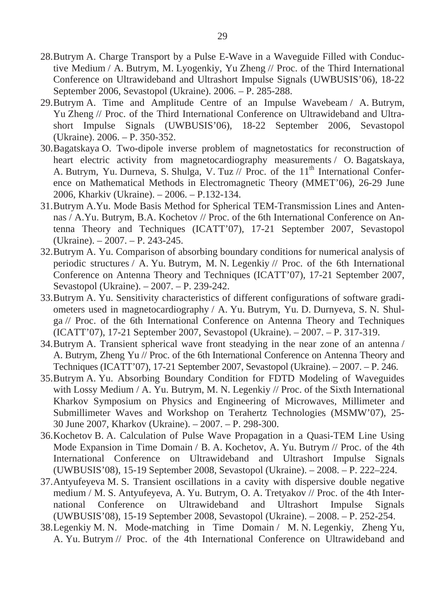- 28.Butrym A. Charge Transport by a Pulse E-Wave in a Waveguide Filled with Conductive Medium / A. Butrym, M. Lyogenkiy, Yu Zheng // Proc. of the Third International Conference on Ultrawideband and Ultrashort Impulse Signals (UWBUSIS'06), 18-22 September 2006, Sevastopol (Ukraine). 2006. – P. 285-288.
- 29.Butrym A. Time and Amplitude Centre of an Impulse Wavebeam / A. Butrym, Yu Zheng // Proc. of the Third International Conference on Ultrawideband and Ultrashort Impulse Signals (UWBUSIS'06), 18-22 September 2006, Sevastopol (Ukraine). 2006. – P. 350-352.
- 30.Bagatskaya O. Two-dipole inverse problem of magnetostatics for reconstruction of heart electric activity from magnetocardiography measurements / O. Bagatskaya, A. Butrym, Yu. Durneva, S. Shulga, V. Tuz // Proc. of the 11<sup>th</sup> International Conference on Mathematical Methods in Electromagnetic Theory (MMET'06), 26-29 June 2006, Kharkiv (Ukraine). – 2006. – P.132-134.
- 31.Butrym A.Yu. Mode Basis Method for Spherical TEM-Transmission Lines and Antennas / A.Yu. Butrym, B.A. Kochetov // Proc. of the 6th International Conference on Antenna Theory and Techniques (ICATT'07), 17-21 September 2007, Sevastopol (Ukraine). – 2007. – P. 243-245.
- 32.Butrym A. Yu. Comparison of absorbing boundary conditions for numerical analysis of periodic structures / A. Yu. Butrym, M. N. Legenkiy // Proc. of the 6th International Conference on Antenna Theory and Techniques (ICATT'07), 17-21 September 2007, Sevastopol (Ukraine). – 2007. – P. 239-242.
- 33.Butrym A. Yu. Sensitivity characteristics of different configurations of software gradiometers used in magnetocardiography / A. Yu. Butrym, Yu. D. Durnyeva, S. N. Shulga // Proc. of the 6th International Conference on Antenna Theory and Techniques (ICATT'07), 17-21 September 2007, Sevastopol (Ukraine). – 2007. – P. 317-319.
- 34.Butrym A. Transient spherical wave front steadying in the near zone of an antenna / A. Butrym, Zheng Yu // Proc. of the 6th International Conference on Antenna Theory and Techniques (ICATT'07), 17-21 September 2007, Sevastopol (Ukraine). – 2007. – P. 246.
- 35.Butrym A. Yu. Absorbing Boundary Condition for FDTD Modeling of Waveguides with Lossy Medium / A. Yu. Butrym, M. N. Legenkiy // Proc. of the Sixth International Kharkov Symposium on Physics and Engineering of Microwaves, Millimeter and Submillimeter Waves and Workshop on Terahertz Technologies (MSMW'07), 25- 30 June 2007, Kharkov (Ukraine). – 2007. – P. 298-300.
- 36.Kochetov B. A. Calculation of Pulse Wave Propagation in a Quasi-TEM Line Using Mode Expansion in Time Domain / B. A. Kochetov, A. Yu. Butrym // Proc. of the 4th International Conference on Ultrawideband and Ultrashort Impulse Signals (UWBUSIS'08), 15-19 September 2008, Sevastopol (Ukraine). – 2008. – P. 222–224.
- 37.Antyufeyeva M. S. Transient oscillations in a cavity with dispersive double negative medium / M. S. Antyufeyeva, A. Yu. Butrym, O. A. Tretyakov // Proc. of the 4th International Conference on Ultrawideband and Ultrashort Impulse Signals (UWBUSIS'08), 15-19 September 2008, Sevastopol (Ukraine). – 2008. – P. 252-254.
- 38.Legenkiy M. N. Mode-matching in Time Domain / M. N. Legenkiy, Zheng Yu, A. Yu. Butrym // Proc. of the 4th International Conference on Ultrawideband and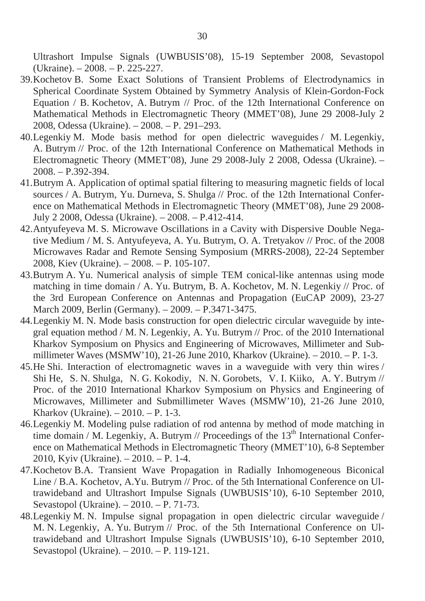Ultrashort Impulse Signals (UWBUSIS'08), 15-19 September 2008, Sevastopol (Ukraine). – 2008. – P. 225-227.

- 39.Kochetov B. Some Exact Solutions of Transient Problems of Electrodynamics in Spherical Coordinate System Obtained by Symmetry Analysis of Klein-Gordon-Fock Equation / B. Kochetov, A. Butrym // Proc. of the 12th International Conference on Mathematical Methods in Electromagnetic Theory (MMET'08), June 29 2008-July 2 2008, Odessa (Ukraine). – 2008. – P. 291–293.
- 40.Legenkiy M. Mode basis method for open dielectric waveguides / M. Legenkiy, A. Butrym // Proc. of the 12th International Conference on Mathematical Methods in Electromagnetic Theory (MMET'08), June 29 2008-July 2 2008, Odessa (Ukraine). – 2008. – P.392-394.
- 41.Butrym A. Application of optimal spatial filtering to measuring magnetic fields of local sources / A. Butrym, Yu. Durneva, S. Shulga // Proc. of the 12th International Conference on Mathematical Methods in Electromagnetic Theory (MMET'08), June 29 2008- July 2 2008, Odessa (Ukraine). – 2008. – P.412-414.
- 42.Antyufeyeva M. S. Microwave Oscillations in a Cavity with Dispersive Double Negative Medium / M. S. Antyufeyeva, A. Yu. Butrym, O. A. Tretyakov // Proc. of the 2008 Microwaves Radar and Remote Sensing Symposium (MRRS-2008), 22-24 September 2008, Kiev (Ukraine). – 2008. – P. 105-107.
- 43.Butrym A. Yu. Numerical analysis of simple TEM conical-like antennas using mode matching in time domain / A. Yu. Butrym, B. A. Kochetov, M. N. Legenkiy // Proc. of the 3rd European Conference on Antennas and Propagation (EuCAP 2009), 23-27 March 2009, Berlin (Germany). – 2009. – P.3471-3475.
- 44.Legenkiy M. N. Mode basis construction for open dielectric circular waveguide by integral equation method / M. N. Legenkiy, A. Yu. Butrym // Proc. of the 2010 International Kharkov Symposium on Physics and Engineering of Microwaves, Millimeter and Submillimeter Waves (MSMW'10), 21-26 June 2010, Kharkov (Ukraine). – 2010. – P. 1-3.
- 45.He Shi. Interaction of electromagnetic waves in a waveguide with very thin wires / Shi He, S. N. Shulga, N. G. Kokodiy, N. N. Gorobets, V. I. Kiiko, A. Y. Butrym // Proc. of the 2010 International Kharkov Symposium on Physics and Engineering of Microwaves, Millimeter and Submillimeter Waves (MSMW'10), 21-26 June 2010, Kharkov (Ukraine). – 2010. – P. 1-3.
- 46.Legenkiy M. Modeling pulse radiation of rod antenna by method of mode matching in time domain / M. Legenkiy, A. Butrym // Proceedings of the  $13<sup>th</sup>$  International Conference on Mathematical Methods in Electromagnetic Theory (MMET'10), 6-8 September 2010, Kyiv (Ukraine). – 2010. – P. 1-4.
- 47.Kochetov B.A. Transient Wave Propagation in Radially Inhomogeneous Biconical Line / B.A. Kochetov, A.Yu. Butrym // Proc. of the 5th International Conference on Ultrawideband and Ultrashort Impulse Signals (UWBUSIS'10), 6-10 September 2010, Sevastopol (Ukraine). – 2010. – P. 71-73.
- 48.Legenkiy M. N. Impulse signal propagation in open dielectric circular waveguide / M. N. Legenkiy, A. Yu. Butrym // Proc. of the 5th International Conference on Ultrawideband and Ultrashort Impulse Signals (UWBUSIS'10), 6-10 September 2010, Sevastopol (Ukraine). – 2010. – P. 119-121.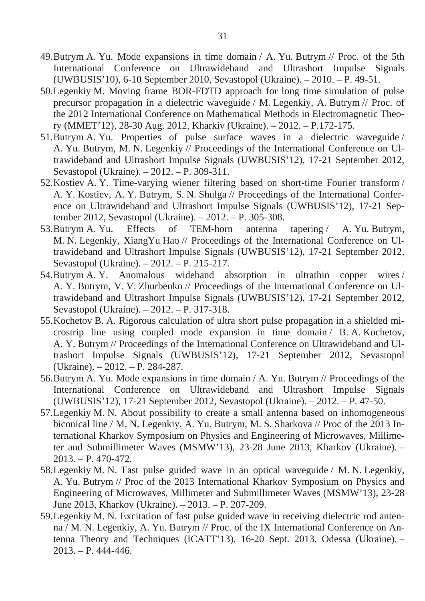- 49.Butrym A. Yu. Mode expansions in time domain / A. Yu. Butrym // Proc. of the 5th International Conference on Ultrawideband and Ultrashort Impulse Signals (UWBUSIS'10), 6-10 September 2010, Sevastopol (Ukraine). – 2010. – P. 49-51.
- 50.Legenkiy M. Moving frame BOR-FDTD approach for long time simulation of pulse precursor propagation in a dielectric waveguide / M. Legenkiy, A. Butrym // Proc. of the 2012 International Conference on Mathematical Methods in Electromagnetic Theory (MMET'12), 28-30 Aug. 2012, Kharkiv (Ukraine). – 2012. – P.172-175.
- 51.Butrym A. Yu. Properties of pulse surface waves in a dielectric waveguide / A. Yu. Butrym, M. N. Legenkiy // Proceedings of the International Conference on Ultrawideband and Ultrashort Impulse Signals (UWBUSIS'12), 17-21 September 2012, Sevastopol (Ukraine). – 2012. – P. 309-311.
- 52.Kostiev A. Y. Time-varying wiener filtering based on short-time Fourier transform / A. Y. Kostiev, A. Y. Butrym, S. N. Shulga // Proceedings of the International Conference on Ultrawideband and Ultrashort Impulse Signals (UWBUSIS'12), 17-21 September 2012, Sevastopol (Ukraine). – 2012. – P. 305-308.
- 53.Butrym A. Yu. Effects of TEM-horn antenna tapering / A. Yu. Butrym, M. N. Legenkiy, XiangYu Hao // Proceedings of the International Conference on Ultrawideband and Ultrashort Impulse Signals (UWBUSIS'12), 17-21 September 2012, Sevastopol (Ukraine). – 2012. – P. 215-217.
- 54.Butrym A. Y. Anomalous wideband absorption in ultrathin copper wires / A. Y. Butrym, V. V. Zhurbenko // Proceedings of the International Conference on Ultrawideband and Ultrashort Impulse Signals (UWBUSIS'12), 17-21 September 2012, Sevastopol (Ukraine). – 2012. – P. 317-318.
- 55.Kochetov B. A. Rigorous calculation of ultra short pulse propagation in a shielded microstrip line using coupled mode expansion in time domain / B. A. Kochetov, A. Y. Butrym // Proceedings of the International Conference on Ultrawideband and Ultrashort Impulse Signals (UWBUSIS'12), 17-21 September 2012, Sevastopol (Ukraine). – 2012. – P. 284-287.
- 56.Butrym A. Yu. Mode expansions in time domain / A. Yu. Butrym // Proceedings of the International Conference on Ultrawideband and Ultrashort Impulse Signals (UWBUSIS'12), 17-21 September 2012, Sevastopol (Ukraine). – 2012. – P. 47-50.
- 57.Legenkiy M. N. About possibility to create a small antenna based on inhomogeneous biconical line / M. N. Legenkiy, A. Yu. Butrym, M. S. Sharkova // Proc of the 2013 International Kharkov Symposium on Physics and Engineering of Microwaves, Millimeter and Submillimeter Waves (MSMW'13), 23-28 June 2013, Kharkov (Ukraine). – 2013. – P. 470-472.
- 58.Legenkiy M. N. Fast pulse guided wave in an optical waveguide / M. N. Legenkiy, A. Yu. Butrym // Proc of the 2013 International Kharkov Symposium on Physics and Engineering of Microwaves, Millimeter and Submillimeter Waves (MSMW'13), 23-28 June 2013, Kharkov (Ukraine). – 2013. – P. 207-209.
- 59.Legenkiy M. N. Excitation of fast pulse guided wave in receiving dielectric rod antenna / M. N. Legenkiy, A. Yu. Butrym // Proc. of the IX International Conference on Antenna Theory and Techniques (ICATT'13), 16-20 Sept. 2013, Odessa (Ukraine). –  $2013. - P. 444-446.$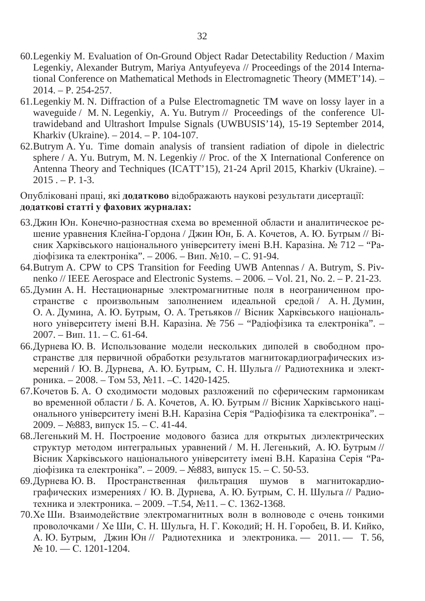- 60.Legenkiy M. Evaluation of On-Ground Object Radar Detectability Reduction / Maxim Legenkiy, Alexander Butrym, Mariya Antyufeyeva // Proceedings of the 2014 International Conference on Mathematical Methods in Electromagnetic Theory (MMET'14). – 2014. – P. 254-257.
- 61.Legenkiy M. N. Diffraction of a Pulse Electromagnetic TM wave on lossy layer in a waveguide / M. N. Legenkiy, A. Yu. Butrym // Proceedings of the conference Ultrawideband and Ultrashort Impulse Signals (UWBUSIS'14), 15-19 September 2014, Kharkiv (Ukraine). – 2014. – P. 104-107.
- 62.Butrym A. Yu. Time domain analysis of transient radiation of dipole in dielectric sphere / A. Yu. Butrym, M. N. Legenkiy // Proc. of the X International Conference on Antenna Theory and Techniques (ICATT'15), 21-24 April 2015, Kharkiv (Ukraine). –  $2015 - P. 1-3.$

### Опубліковані праці, які додатково відображають наукові результати дисертації: **изначаткові статті у фахових журналах:**

- 63. Джин Юн. Конечно-разностная схема во временной области и аналитическое решение уравнения Клейна-Гордона / Джин Юн, Б. А. Кочетов, А. Ю. Бутрым // Вісник Харківського національного університету імені В.Н. Каразіна. № 712 – "Радіофізика та електроніка". – 2006. – Вип. №10. – С. 91-94.
- 64.Butrym A. CPW to CPS Transition for Feeding UWB Antennas / A. Butrym, S. Pivnenko // IEEE Aerospace and Electronic Systems. – 2006. – Vol. 21, No. 2. – P. 21-23.
- 65. Думин А. Н. Нестационарные электромагнитные поля в неограниченном пространстве с произвольным заполнением идеальной средой / А. Н. Думин, О. А. Думина, А. Ю. Бутрым, О. А. Третьяков // Вісник Харківського національного університету імені В.Н. Каразіна. № 756 – "Радіофізика та електроніка". –  $2007. - B$ ип.  $11. - C. 61-64.$
- 66. Дурнева Ю. В. Использование модели нескольких диполей в свободном пространстве для первичной обработки результатов магнитокардиографических измерений / Ю. В. Дурнева, А. Ю. Бутрым, С. Н. Шульга // Радиотехника и электроника. – 2008. – Том 53, №11. –С. 1420-1425.
- 67. Кочетов Б. А. О сходимости модовых разложений по сферическим гармоникам во временной области / Б. А. Кочетов, А. Ю. Бутрым // Вісник Харківського національного університету імені В.Н. Каразіна Серія "Радіофізика та електроніка". – 2009. – №883, випуск 15. – С. 41-44.
- 68. Легенький М. Н. Построение модового базиса для открытых диэлектрических структур методом интегральных уравнений / М. Н. Легенький, А. Ю. Бутрым // Вісник Харківського національного університету імені В.Н. Каразіна Серія "Радіофізика та електроніка". – 2009. – №883, випуск 15. – С. 50-53.
- 69. Дурнева Ю. В. Пространственная фильтрация шумов в магнитокардиографических измерениях / Ю. В. Дурнева, А. Ю. Бутрым, С. Н. Шульга // Радиотехника и электроника. – 2009. –Т.54, №11. – С. 1362-1368.
- 70. Хе Ши. Взаимодействие электромагнитных волн в волноводе с очень тонкими проволочками / Хе Ши, С. Н. Шульга, Н. Г. Кокодий; Н. Н. Горобец, В. И. Кийко, А. Ю. Бутрым, Джин Юн // Радиотехника и электроника. — 2011. — Т. 56, No 10. − C. 1201-1204.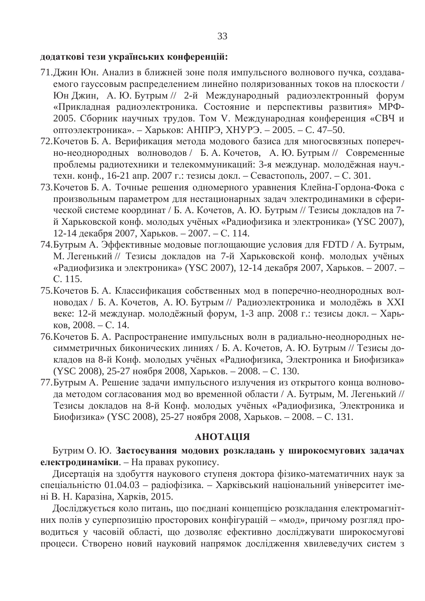### додаткові тези українських конференцій:

- 71. Джин Юн. Анализ в ближней зоне поля импульсного волнового пучка, создаваемого гауссовым распределением линейно поляризованных токов на плоскости / Юн Джин, А. Ю. Бутрым // 2-й Международный радиоэлектронный форум «Прикладная радиоэлектроника. Состояние и перспективы развития» МРФ-2005. Сборник научных трудов. Том V. Международная конференция «СВЧ и оптоэлектроника». – Харьков: АНПРЭ, ХНУРЭ. – 2005. – С. 47–50.
- 72. Кочетов Б. А. Верификация метода модового базиса для многосвязных поперечно-неоднородных волноводов / Б. А. Кочетов, А. Ю. Бутрым // Современные проблемы радиотехники и телекоммуникаций: 3-я междунар. молодёжная науч.техн. конф., 16-21 апр. 2007 г.: тезисы докл. – Севастополь, 2007. – С. 301.
- 73. Кочетов Б. А. Точные решения одномерного уравнения Клейна-Гордона-Фока с произвольным параметром для нестационарных задач электродинамики в сферической системе координат / Б. А. Кочетов, А. Ю. Бутрым // Тезисы докладов на 7й Харьковской конф. молодых учёных «Радиофизика и электроника» (YSC 2007), 12-14 декабря 2007, Харьков. – 2007. – С. 114.
- 74. Бутрым А. Эффективные модовые поглощающие условия для FDTD / А. Бутрым, М. Легенький // Тезисы докладов на 7-й Харьковской конф. молодых учёных «Радиофизика и электроника» (YSC 2007), 12-14 декабря 2007, Харьков. – 2007. – ɋ. 115.
- 75. Кочетов Б. А. Классификация собственных мод в поперечно-неоднородных волноводах / Б. А. Кочетов, А. Ю. Бутрым // Радиоэлектроника и молодёжь в XXI веке: 12-й междунар. молодёжный форум, 1-3 апр. 2008 г.: тезисы докл. – Харь- $KOB, 2008. - C. 14.$
- 76. Кочетов Б. А. Распространение импульсных волн в радиально-неоднородных несимметричных биконических линиях / Б. А. Кочетов, А. Ю. Бутрым // Тезисы докладов на 8-й Конф. молодых учёных «Радиофизика, Электроника и Биофизика» (YSC 2008), 25-27 ноября 2008, Харьков. – 2008. – С. 130.
- 77. Бутрым А. Решение задачи импульсного излучения из открытого конца волновода методом согласования мод во временной области / А. Бутрым, М. Легенький // Тезисы докладов на 8-й Конф. молодых учёных «Радиофизика, Электроника и Биофизика» (YSC 2008), 25-27 ноября 2008, Харьков. – 2008. – С. 131.

### *AHOTAЦІЯ*

Бутрим О. Ю. Застосування модових розкладань у широкосмугових задачах **електродинаміки**. – На правах рукопису.

Дисертація на здобуття наукового ступеня доктора фізико-математичних наук за спеціальністю 01.04.03 – радіофізика. – Харківський національний університет імені В. Н. Каразіна, Харків, 2015.

Досліджується коло питань, що поєднані концепцією розкладання електромагнітних полів у суперпозицію просторових конфігурацій – «мод», причому розгляд проводиться у часовій області, що дозволяє ефективно досліджувати широкосмугові процеси. Створено новий науковий напрямок дослідження хвилеведучих систем з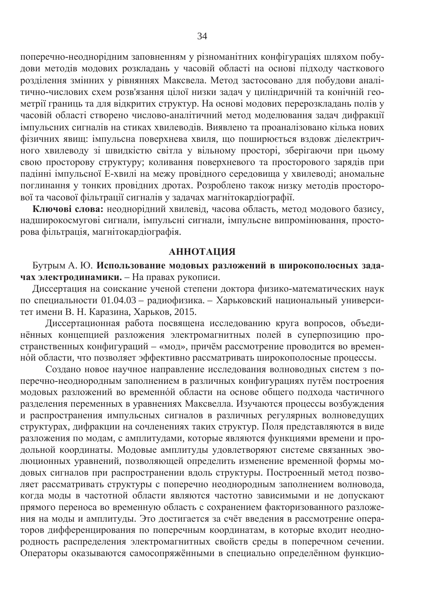поперечно-неоднорідним заповненням у різноманітних конфігураціях шляхом побудови методів модових розкладань у часовій області на основі підходу часткового розділення змінних у рівняннях Максвела. Метод застосовано для побудови аналі--<br>тично-числових схем розв'язання цілої низки задач у циліндричній та конічній геометрії границь та для відкритих структур. На основі модових перерозкладань полів у часовій області створено числово-аналітичний метод моделювання задач дифракції імпульсних сигналів на стиках хвилеводів. Виявлено та проаналізовано кілька нових фізичних явищ: імпульсна поверхнева хвиля, що поширюється вздовж діелектричного хвилеводу зі швидкістю світла у вільному просторі, зберігаючи при цьому свою просторову структуру; коливання поверхневого та просторового зарядів при падінні імпульсної Е-хвилі на межу провідного середовища у хвилеводі; аномальне поглинання у тонких провідних дротах. Розроблено також низку методів просторової та часової фільтрації сигналів у задачах магнітокардіографії.

**Ключові слова:** неоднорідний хвилевід, часова область, метод модового базису, надширокосмугові сигнали, імпульсні сигнали, імпульсне випромінювання, просторова фільтрація, магнітокардіографія.

#### **АННОТАЦИЯ**

Бутрым А. Ю. Использование модовых разложений в широкополосных задачах электродинамики. – На правах рукописи.

Диссертация на соискание ученой степени доктора физико-математических наук по специальности 01.04.03 – радиофизика. – Харьковский национальный университет имени В. Н. Каразина, Харьков, 2015.

Диссертационная работа посвящена исследованию круга вопросов, объединённых концепцией разложения электромагнитных полей в суперпозицию пространственных конфигураций – «мод», причём рассмотрение проводится во временной области, что позволяет эффективно рассматривать широкополосные процессы.

Создано новое научное направление исследования волноводных систем з поперечно-неоднородным заполнением в различных конфигурациях путём построения модовых разложений во временной области на основе общего подхода частичного разделения переменных в уравнениях Максвелла. Изучаются процессы возбуждения и распространения импульсных сигналов в различных регулярных волноведущих структурах, дифракции на сочленениях таких структур. Поля представляются в виде разложения по модам, с амплитудами, которые являются функциями времени и про-• дольной координаты. Модовые амплитуды удовлетворяют системе связанных эволюционных уравнений, позволяющей определить изменение временной формы модовых сигналов при распространении вдоль структуры. Построенный метод позволяет рассматривать структуры с поперечно неоднородным заполнением волновода, когда моды в частотной области являются частотно зависимыми и не допускают прямого переноса во временную область с сохранением факторизованного разложе-НИЯ НА МОДЫ И АМПЛИТУДЫ. Это достигается за счёт введения в рассмотрение операторов дифференцирования по поперечным координатам, в которые входит неоднородность распределения электромагнитных свойств среды в поперечном сечении. • Операторы оказываются самосопряжёнными в специально определённом функцио-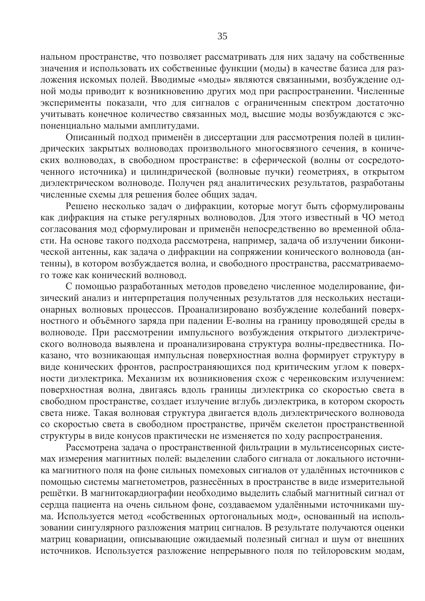нальном пространстве, что позволяет рассматривать для них задачу на собственные значения и использовать их собственные функции (моды) в качестве базиса для разложения искомых полей. Вводимые «моды» являются связанными, возбуждение одной моды приводит к возникновению других мод при распространении. Численные эксперименты показали, что для сигналов с ограниченным спектром достаточно учитывать конечное количество связанных мод, высшие моды возбуждаются с экспоненциально малыми амплитудами.

Описанный подход применён в диссертации для рассмотрения полей в цилиндрических закрытых волноводах произвольного многосвязного сечения, в конических волноводах, в свободном пространстве: в сферической (волны от сосредоточенного источника) и цилиндрической (волновые пучки) геометриях, в открытом диэлектрическом волноводе. Получен ряд аналитических результатов, разработаны численные схемы для решения более общих задач.

Решено несколько задач о дифракции, которые могут быть сформулированы как дифракция на стыке регулярных волноводов. Для этого известный в ЧО метод согласования мод сформулирован и применён непосредственно во временной области. На основе такого подхода рассмотрена, например, задача об излучении биконической антенны, как задача о дифракции на сопряжении конического волновода (антенны), в котором возбуждается волна, и свободного пространства, рассматриваемого тоже как конический волновод.

С помощью разработанных методов проведено численное моделирование, физический анализ и интерпретация полученных результатов для нескольких нестационарных волновых процессов. Проанализировано возбуждение колебаний поверхностного и объёмного заряда при падении Е-волны на границу проводящей среды в волноводе. При рассмотрении импульсного возбуждения открытого диэлектрического волновода выявлена и проанализирована структура волны-предвестника. Показано, что возникающая импульсная поверхностная волна формирует структуру в виде конических фронтов, распространяющихся под критическим углом к поверхности диэлектрика. Механизм их возникновения схож с черенковским излучением: поверхностная волна, двигаясь вдоль границы диэлектрика со скоростью света в свободном пространстве, создает излучение вглубь диэлектрика, в котором скорость света ниже. Такая волновая структура двигается вдоль диэлектрического волновода со скоростью света в свободном пространстве, причём скелетон пространственной структуры в виде конусов практически не изменяется по ходу распространения.

Рассмотрена задача о пространственной фильтрации в мультисенсорных системах измерения магнитных полей: выделении слабого сигнала от локального источника магнитного поля на фоне сильных помеховых сигналов от удалённых источников с помощью системы магнетометров, разнесённых в пространстве в виде измерительной решётки. В магнитокардиографии необходимо выделить слабый магнитный сигнал от сердца пациента на очень сильном фоне, создаваемом удалёнными источниками шума. Используется метод «собственных ортогональных мод», основанный на использовании сингулярного разложения матриц сигналов. В результате получаются оценки матриц ковариации, описывающие ожидаемый полезный сигнал и шум от внешних источников. Используется разложение непрерывного поля по тейлоровским модам,